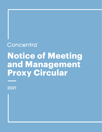# Concentra® **Notice of Meeting and Management Proxy Circular**

2021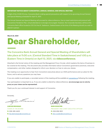#### **IMPORTANT NOTICE ABOUT CONCENTRA's ANNUAL GENERAL AND SPECIAL MEETING**

In light of the COVID-19 virus, Concentra Bank is taking special precautions with respect to its upcoming Annual General and Special Meeting scheduled for April 13, 2021.

The Annual General and Special Meeting will proceed by videoconference. Due to travel restrictions and protocol with Concentra's Pandemic Plan, virtual attendance is strongly encouraged. However, the Corporate Secretary will be at the Concentra Bank office located at 333 3rd Ave N. Saskatoon, Saskatchewan at the time of the Meeting should you wish to attend in person.

**March 22, 2021**

## **Dear Shareholder,**

The Concentra Bank Annual General and Special Meeting of Shareholders will take place at 11:00 a.m. (Central Standard Time in Saskatchewan) and 1:00 p.m. (Eastern Time in Ontario) on April 13, 2021, via **videoconference**.

Attached is the formal notice of the meeting and the Management Proxy Circular, which explains the items of business to be covered at the meeting. This document also provides information about Concentra's governance practices, executive compensation, and other matters designed to inform your decision on how to vote your shares.

The meeting is an opportunity to hear from Concentra's executives about our 2020 performance and our plans for the future, and to ask any questions you may have.

If you are unable to participate, a recorded version of the meeting will be available at [concentra.ca](https://www.concentra.ca/Pages/index.aspx) following the meeting.

Your participation is important to us. If you are unable to attend by videoconference, **we encourage you to vote by proxy so your views can be represented.**

Thank you for your continued interest in and support of Concentra.

Sincerely,

C

LISE DE MOISSAC CHAIR OF THE BOARD P: 306-385-4402 E: [lise.demoissac@concentra.ca](mailto:lise.demoissac%40concentra.ca?subject=)

Id luntt

DON COULTER PRESIDENT AND CHIEF EXECUTIVE OFFICER P: 306-956-1831 E: [don.coulter@concentra.ca](mailto:don.coulter%40concentra.ca?subject=)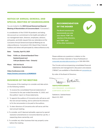### **NOTICE OF ANNUAL GENERAL AND SPECIAL MEETING OF SHAREHOLDERS**

You are invited to the **2021 Annual General and Special Meeting of Shareholders of Concentra Bank** ("Concentra").

In consideration of the COVID-19 pandemic and taking into account our commitment to the health and safety of our management team, directors, employees, advisors, and guests, we kindly request that your attendance at the Concentra Annual General and Special Meeting be via videoconference. Concentra's CEO, Board Chair, External Auditors and others will participate by videoconference only.

**Date: Tuesday, April 13, 2021**

- **Time: 11:00 a.m. (Central Standard Time – Saskatchewan) and 1:00 pm (Eastern Time – Ontario)**
- **Place: 333 3rd Ave N Saskatoon, Saskatchewan**

**Video Conference Link: <https://events.concentra.ca/AGM2021>**

#### **BUSINESS OF THE MEETING**

The purpose of the meeting is to consider and take action on the following matters:

- 1. To receive the consolidated financial statements of Concentra for the year ended December 31, 2020, and the auditors' report on those statements;
- 2. To appoint the auditors of Concentra who will serve until the next annual meeting, and to authorize the directors to fix the remuneration to be paid to the auditors;
- 3. To elect directors of Concentra who will serve until the next annual meeting;
- 4. To consider, and if deemed advisable, approve by special resolution amendments to Concentra Bank By-Law No. 2 respecting share ownership; and
- 5. To consider any other business that may properly come before the meeting.

### **RECOMMENDATION OF THE BOARD**

**The Board unanimously recommends you vote your shares "FOR" the election of the directors, and "FOR" each of the other resolutions.**

✔

Please address any questions in relation to this Notice and these materials to Tanya Postlewaite at [corporate.secretary@concentra.ca](mailto:corporate.secretary%40concentra.ca?subject=) or 306-956-1814.

The Circular and accompanying consolidated financial statements and management's discussion and analysis ("MD&A") are available to Shareholders at [concentra.ca.](http://concentra.ca)

By order of the Board of Directors,

Bolevate

TANYA POSTLEWAITE VICE-PRESIDENT, GOVERNANCE CORPORATE SECRETARY

Saskatoon, Saskatchewan March 22, 2021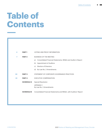## **Table of Contents**

 $\mathcal{L}_{\mathcal{A}}$  , and  $\mathcal{L}_{\mathcal{A}}$  , and  $\mathcal{L}_{\mathcal{A}}$ 

| 4                        | PART <sub>1</sub> | <b>VOTING AND PROXY INFORMATION</b>                                |
|--------------------------|-------------------|--------------------------------------------------------------------|
| $\overline{\phantom{a}}$ | <b>PART 2</b>     | <b>BUSINESS OF THE MEETING</b>                                     |
|                          |                   | Consolidated Financial Statements, MD&A and Auditor's Report<br>a) |
|                          |                   | Appointment of Auditors<br>b)                                      |
|                          |                   | <b>Election of Directors</b><br>c)                                 |
|                          |                   | d)<br>By-Law No. 2 Amendments                                      |
| 20                       | <b>PART 3</b>     | STATEMENT OF CORPORATE GOVERNANCE PRACTICES                        |
| 32                       | PART <sub>4</sub> | <b>EXECUTIVE COMPENSATION</b>                                      |
|                          | <b>SCHEDULE A</b> | Special Resolution                                                 |
|                          |                   | <b>APPENDIX1</b><br>By-Law No. 2 Amendments                        |
|                          | <b>SCHEDULE B</b> | Consolidated Financial Statements and MD&A, with Auditors' Report  |
|                          |                   |                                                                    |
|                          |                   |                                                                    |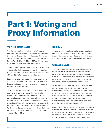## **Part 1: Voting and Proxy Information**

#### **VOTING INFORMATION**

This Management Proxy Circular ("Circular") is being provided to holders of Common Shares of Concentra Bank ("Concentra") in connection with the Annual General and Special Meeting of the Shareholders (the "Meeting") to be held on April 13, 2021 at 11:00 a.m. CST via videoconference and at 333 3rd Ave N, Saskatoon, Saskatchewan.

The information provided in the Circular is furnished to the Common Shareholders so you may exercise your right to vote at the meeting. The information provided is current as of March 22, 2021 unless otherwise indicated.

Each matter you are being asked to vote on requires the approval of a majority (more than 50%) of the votes cast in person or by proxy at the meeting , except the special resolution to amend By-Law No. 2.

The special resolution to amend By-Law No. 2 requires approval of at least two-thirds of the votes cast by Common Shareholders in person or by proxy at the meeting. Due to the restriction contained in section 3(b) (ii) of By-Law No. 2, Credit Union Central of Saskatchewan ("SaskCentral"), as majority shareholder, may only exercise up to 50% of the total votes cast on the special resolution. To clarify, SaskCentral cannot pass a special resolution on By-Law No. 2 on its own without support from additional Common Shareholders.

#### **QUORUM**

Quorum for the transaction of business at the Meeting is the holders of a majority of the Common Shares entitled to vote at the Meeting, present in person (which includes attendance via videoconference), or represented by proxy.

#### **WHO CAN VOTE?**

The Directors have fixed March 22, 2021 as the record date for determining Shareholders entitled to receive notice of the Meeting. A person shown as a Shareholder of record on March 22, 2021 shall be entitled to vote the shares of Concentra registered in his or her name on that date. You are entitled to one vote for each share you own as of March 22, 2021.

As of March 22, 2021, there were 9,621,113.618 Common Shares of Concentra issued and outstanding. Each Common Share carries the right to one vote in respect of each of the matters properly coming before the Meeting, except for the election of directors, for which cumulative voting is used (for additional details with respect to cumulative voting, please refer to the information set out under the heading "Election of Directors").

As of the date of this Circular, to the best of the knowledge of Concentra, the following companies beneficially owned, or controlled or directed, directly or indirectly, voting securities of Concentra carrying 10% or more of the voting rights attached to any class of voting securities of Concentra: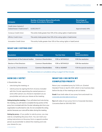| <b>Company</b>                                          | <b>Number of Common Shares Beneficially</b><br><b>Owned, Controlled or Directed</b> | Percentage of<br><b>Voting Securities</b> |
|---------------------------------------------------------|-------------------------------------------------------------------------------------|-------------------------------------------|
| Credit Union Central of<br>Saskatchewan ("SaskCentral") | 8.083.519.177                                                                       | Approximately 84%                         |
| Conexus Credit Union                                    | This entity holds greater than 10% of the voting rights in SaskCentral.             |                                           |
| Affinity Credit Union                                   | This entity holds greater than 10% of the voting rights in SaskCentral.             |                                           |
| Innovation Credit Union                                 | This entity holds greater than 10% of the voting rights in SaskCentral.             |                                           |

#### **WHAT AM I VOTING ON?**

| <b>Resolution</b>                   | <b>Who Votes</b>    | <b>You Can Vote</b>   | <b>Board</b><br><b>Recommendation</b> |
|-------------------------------------|---------------------|-----------------------|---------------------------------------|
| Appointment of the External Auditor | Common Shareholders | FOR or WITHHOLD       | FOR the resolution                    |
| Election of the Directors           | Common Shareholders | FOR or WITHHOLD       | FOR the resolution                    |
| By-Law No. 2 Amendments             | Common Shareholders | <b>FOR or AGAINST</b> | FOR the special resolution            |
|                                     |                     |                       |                                       |

See the provisions on cumulative voting on page 9 of this Circular.

#### **HOW DO I VOTE?**

A Shareholder may:

- vote during the meeting; or
- vote by proxy by signing the form of proxy included with this Circular appointing the named persons or some other person you choose to represent you as proxyholder and vote your shares at the meeting.

**Voting during the meeting**—If you will attend and vote during the meeting, you will need to complete the top portion of the proxy form included with this Circular indicating who from your organization is authorized to vote. Do not complete the voting section because your vote will be taken during the meeting.

**Voting by proxy**—If you prefer to vote by proxy, you may vote by completing the proxy form. You can mark your voting instructions on the proxy form or appoint another person as proxyholder to attend the meeting and vote your shares for you.

### **WHAT DO I DO WITH MY COMPLETED PROXY?**

Return your completed proxy by 11:00 a.m. (Central Standard Time) on April 9, 2021, which is two business days before the day of the meeting as set out below.

**Email:** Scan both sides of your proxy form and email it to [corporate.secretary@concentra.ca](mailto:corporate.secretary%40concentra.ca?subject=)

**Fax** both sides of your proxy form to Corporate Secretary, Concentra Bank at 306-652-7614.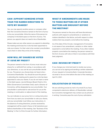### **CAN I APPOINT SOMEONE OTHER THAN THE NAMED DIRECTORS TO VOTE MY SHARES?**

Yes, you may appoint another person or company other than the Concentra Directors named on the form of proxy to be your proxyholder. Write the name of this person (or company) in the blank space on the form of proxy. The person you appoint does not need to be a Shareholder.

Please make sure any other person you appoint is attending the meeting and knows he or she has been appointed to vote your shares. For their vote to be counted, proxyholders must check in when they arrive at the meeting.

### **HOW WILL MY SHARES BE VOTED IF I GIVE MY PROXY?**

The person named on the form of proxy must vote your shares for or withhold from voting, in accordance with your directions, or you can let your proxyholder decide for you. The person you choose does not have to be a Concentra Shareholder. You should be sure this person is attending the meeting and is aware he or she has been appointed to vote your shares. If you do not insert a name in the blank space, Lise de Moissac (Board Chair) or Eric Dillon (Governance Committee Chair), each a Director of Concentra, will be designated as your proxyholder. Your proxyholder is authorized to vote and act for you at the meeting or continuation or adjournment of the meeting.

You can indicate on your proxy form or voting instruction form how you want your proxyholder to vote your shares, and your proxyholder must follow your instructions. In the absence of voting directions, proxies received by management will be voted in favour of all resolutions put before shareholders of the meeting. See "Business of the Meeting" in Part 2 of this Circular for further information.

## **WHAT IF AMENDMENTS ARE MADE TO THESE MATTERS OR IF OTHER MATTERS ARE BROUGHT BEFORE THE MEETING?**

The persons named on the proxy will have discretionary authority with respect to amendments or variations to matters identified in the Notice, and with respect to other matters that may properly come before the meeting.

As of the date of this Circular, management of Concentra is not aware of any amendment, variation or other matter expected to come before the meeting. If any other matters properly come before the meeting, the person named on the form of proxy will vote on them in accordance with their best judgment.

#### **CAN I REVOKE MY PROXY?**

If you change your mind and want to revoke your proxy, you can do so by signing and sending a written statement of your request to Concentra Bank, Corporate Secretary via email or fax any time before the start of the meeting on April 13, 2021.

#### **SOLICITATION OF PROXIES**

We are soliciting proxies by mail or by email (if you have consented to electronic delivery of Shareholder notices) but Concentra management may contact you by phone or in writing. Concentra pays the cost of proxy solicitation.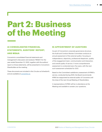## **Part 2: Business of the Meeting**

## **A) CONSOLIDATED FINANCIAL STATEMENTS, AUDITORS' REPORT, AND MD&A**

Concentra's consolidated financial statements and management's discussion and analysis ("MD&A") for the year ended December 31, 2020, together with the auditors' report on those statements, will be presented to Concentra's Shareholders at the meeting.

These documents are included in this Circular as Schedule B, and are available at [concentra.ca](https://www.concentra.ca/Pages/index.aspx).

#### **B) APPOINTMENT OF AUDITORS**

As part of Concentra's corporate governance structure, the Audit and Conduct Review Committee conducts an annual assessment of the external auditor, focusing on independence, objectivity, professional skepticism, quality of the engagement team, communication and interaction, and overall quality of service. A more comprehensive assessment is conducted every five years, with the next such assessment scheduled for 2021.

Based on the Committee's satisfactory assessment of KPMG's service, conducted during 2020, the Board recommends KPMG be reappointed as external auditor of Concentra until the close of the next Annual Meeting of Shareholders.

A representative of KPMG will be in attendance at the Meeting and available to answer your questions.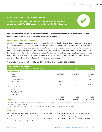✔

#### **RECOMMENDATION OF THE BOARD**

**The Board recommends that Common Shareholders vote FOR the appointment of KPMG LLP as external auditor for the 2021 fiscal year.**

#### **In the absence of contrary instructions, the persons named in the enclosed form of proxy intend to vote FOR the appointment of KPMG LLP as external auditor for the 2021 fiscal year.**

#### **Pre-Approval Policies and Procedures**

As part of Concentra's corporate governance structure, the Audit and Conduct Review Committee annually reviews and approves the terms and scope of the external auditors' engagement. To further ensure the independence of the auditors is not compromised, Concentra's Audit and Conduct Review Committee maintains a policy requiring the Committee to pre-approve all non-audit service engagements performed by the external auditor. Engagements less than \$100,000 can be pre-approved by the Chair of the Audit and Conduct Review Committee, while engagements in excess of the amount require pre-approval by the full Committee. All approvals and status updates of non-audit service engagements are reported to the Audit and Conduct Review Committee on a quarterly basis.

| <b>Fees Paid to External Auditors</b>             |                          |           |           |
|---------------------------------------------------|--------------------------|-----------|-----------|
| For the Year Ended December 31 (Canadian Dollars) | 2020                     | 2019      | 2018      |
| <b>Concentra Bank</b>                             |                          |           |           |
| Audit <sup>1</sup>                                | \$268,525                | \$231,750 | \$225,000 |
| Review                                            | 72,000                   | 72,000    | 90,000    |
| Audit-Related Fees <sup>2</sup>                   |                          |           | 110,896   |
| Other Fees                                        | 12,840                   |           |           |
|                                                   | 353,365                  | 303,750   | 425,896   |
| <b>Concentra Trust</b>                            |                          |           |           |
| Audit                                             | 36,000                   | 35,000    | 34,000    |
| <b>Audit-Related Fees</b>                         | $\overline{\phantom{a}}$ | ٠         |           |
| Other Fees                                        | $\overline{\phantom{a}}$ |           |           |
|                                                   | 36,000                   | 35,000    | 34,000    |
| <b>Total</b>                                      | \$389,365                | \$338,750 | \$459,896 |

The table below presents the fees paid or payable to KPMG for fiscal years 2018, 2019 and 2020.

(1) 2020 audit fees included \$29,825 of fees for additional audit work completed on significant estimates in relation to changes in requirements of Canadian Auditing Standards.

(2) 2018 audit-related fees include fees for additional audit work completed in relation to the adoption of IFRS 9.

#### **Audit Fees**

Audit fees are fees for professional services in connection with the audit of Concentra's annual financial statements and other services that are normally provided by the auditor in connection with statutory and regulatory filings or engagements. Fees reported only include approved amounts as per the annual engagement letter as approved by the Audit and Conduct Review Committee.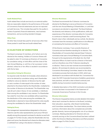#### **Audit-Related Fees**

Audit-related fees include services by an external auditor that are reasonably related to the performance of the audit of Concentra's financial statements and are not reported as Audit Services. This includes fees paid for the auditor's review of quarterly financial statements, new business transactions, and accounting standard changes.

#### **Other Fees**

All other fees include fees paid for all services other than those posted in audit fees and audit-related fees.

#### **C) ELECTION OF DIRECTORS**

The Board comprises 12 members, all of whom are to be elected at the meeting. Holders of Common Shares will be asked to elect 12 nominees as Directors of Concentra by cumulative voting, to hold office until the close of the next Annual Meeting, or until his or her successor is duly elected, unless his or her office is vacated in accordance with the by-laws.

#### **Cumulative Voting for Directors**

As required under the *Bank Act* (Canada), where directors are to be elected by cumulative voting, each Shareholder entitled to vote at an election of directors has the right to cast a number of votes equal to the number of votes attached to the shares held by the Shareholder, multiplied by the number of directors to be elected. The Shareholder may cast all such votes in favour of one candidate, or distribute them among the candidates in any manner. If a Shareholder has voted for more than one candidate without specifying the distribution of the votes among the candidates, the Shareholder is deemed to have distributed the votes equally among the candidates for whom the Shareholder voted.

#### **Voting by Proxy**

The management representatives designated on the proxy intend to cast the votes represented by such proxy FOR and equally among the proposed nominees for election as set forth on pages 11-17 of this Circular, unless the Shareholder who has given such proxy has directed such shares be otherwise voted, or withheld from voting in the election of directors.

#### **Director Nominees**

The Board recommends the 12 director nominees be elected at the Meeting to serve as Directors of Concentra until the next Annual Meeting of Shareholders, or until their successors are elected or appointed. The Board believes the diversity and relevancy of the qualifications, skills and experiences of the director nominees allow for Concentra to continue to maintain a well-functioning Board. The Board's view is that, individually and as a whole, the director nominees have the necessary qualifications to be effective at overseeing the business and affairs of Concentra.

Of the Director nominees, 11 are currently Directors of Concentra and are therefore standing for re-election. The Shareholders of Concentra Bank elected these 11 director nominees at last year's Annual Meeting of Concentra Bank. Pursuant to the requirements of the *Bank Act*, the Chief Executive Officer of a bank must be a Director of the bank, and he is therefore one of the 11 directors standing for re-election. There is one new nominee recommended for election. All nominees for election are recommended by Concentra's Nominating Committee, based on the robust nominations process that took place in 2020, which was developed in accordance with the *Bank Act*, Concentra's By-Laws, the OSFI Corporate Governance Guideline, governance best practices, and with a view to Board continuity and stability during Concentra's transformative journey.

A detailed description of the 2020 nomination and election process has been incorporated in the Statement of Corporate Governance Practices in this Circular.

#### **Director Information**

The Director biographies below provide detailed information about each nominee for election to the Board, including their education, expertise, other Board memberships, and Committee memberships. The charts below provide summary information about the competencies and skills, gender diversity, tenure and geographic mix of our director nominees. Meeting attendance for Directors who are currently serving on the Concentra Board has been outlined within the Directors Meeting Attendance and Remuneration table on page 31 of this Circular.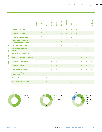п

|                                                                 | Coulter    | de Moissac | Dillon     | <b>Dyrda</b> | Fraser     | Gillespie  | Leonard    | Losier     | Poulsen    | Ransome    | Smart      | Williams   |
|-----------------------------------------------------------------|------------|------------|------------|--------------|------------|------------|------------|------------|------------|------------|------------|------------|
| <b>Strategic Planning</b>                                       | $\sqrt{}$  | $\sqrt{}$  | $\sqrt{ }$ | $\sqrt{ }$   | $\sqrt{ }$ | $\sqrt{}$  | $\sqrt{}$  | $\sqrt{}$  | $\sqrt{ }$ | $\sqrt{}$  | $\sqrt{ }$ | $\sqrt{}$  |
| <b>Financial Industry</b>                                       | $\sqrt{ }$ | $\sqrt{ }$ | $\sqrt{ }$ |              |            | $\sqrt{}$  | $\sqrt{ }$ | $\sqrt{}$  | $\sqrt{}$  | $\sqrt{ }$ | $\sqrt{ }$ |            |
| <b>Financial /Accounting</b>                                    | $\sqrt{ }$ | $\sqrt{ }$ | $\sqrt{ }$ | $\sqrt{}$    |            | $\sqrt{ }$ |            | $\sqrt{ }$ |            | $\sqrt{ }$ | $\sqrt{ }$ | $\sqrt{ }$ |
| <b>Talent Management &amp;</b><br><b>Executive Compensation</b> |            |            |            |              | $\sqrt{ }$ | $\sqrt{}$  |            | $\sqrt{ }$ |            |            |            | $\sqrt{ }$ |
| <b>Risk Oversight Literacy</b>                                  | $\sqrt{ }$ | $\sqrt{}$  | $\sqrt{ }$ | $\sqrt{}$    |            | $\sqrt{}$  | $\sqrt{}$  | $\sqrt{ }$ | $\sqrt{}$  |            | $\sqrt{}$  | $\sqrt{ }$ |
| <b>Financial Industry Risk</b><br><b>Oversight</b>              | $\sqrt{ }$ | $\sqrt{ }$ | $\sqrt{ }$ |              |            |            |            | $\sqrt{ }$ |            |            | $\sqrt{ }$ |            |
| <b>Information Technology</b>                                   | $\sqrt{}$  |            |            |              |            |            |            |            | $\sqrt{}$  |            |            |            |
| <b>Direct-to-Consumer Retailing</b>                             | $\sqrt{ }$ |            | $\sqrt{ }$ |              |            |            |            |            | $\sqrt{ }$ | $\sqrt{ }$ | $\sqrt{ }$ |            |
| <b>Business &amp; Commerce</b>                                  | $\sqrt{ }$ |            | $\sqrt{ }$ | $\sqrt{ }$   | $\sqrt{ }$ |            | $\sqrt{ }$ |            |            | $\sqrt{}$  | $\sqrt{ }$ | $\sqrt{ }$ |
| <b>Financial Literacy</b>                                       | $\sqrt{ }$ | $\sqrt{ }$ | $\sqrt{ }$ | $\sqrt{}$    | $\sqrt{ }$ | $\sqrt{ }$ | $\sqrt{ }$ | $\sqrt{ }$ | $\sqrt{ }$ | $\sqrt{ }$ | $\sqrt{ }$ | $\sqrt{ }$ |
| <b>Governance &amp; Boards</b>                                  | $\sqrt{ }$ | $\sqrt{}$  | $\sqrt{ }$ | $\sqrt{ }$   | $\sqrt{ }$ | $\sqrt{}$  | $\sqrt{ }$ | $\sqrt{}$  | $\sqrt{ }$ | $\sqrt{ }$ | $\sqrt{ }$ | $\sqrt{ }$ |
| <b>Stakeholder Engagement &amp;</b><br><b>Communication</b>     | $\sqrt{ }$ |            |            |              | $\sqrt{ }$ |            | $\sqrt{ }$ |            |            |            |            |            |
| <b>Mergers &amp; Acquisitions</b>                               | $\sqrt{ }$ | $\sqrt{ }$ | $\sqrt{ }$ |              |            |            |            |            | $\sqrt{ }$ | $\sqrt{ }$ | $\sqrt{ }$ | $\sqrt{ }$ |
| <b>Regulatory Environment</b>                                   | $\sqrt{ }$ | $\sqrt{ }$ | $\sqrt{ }$ |              |            |            | $\sqrt{}$  | $\sqrt{}$  | $\sqrt{ }$ | $\sqrt{ }$ | $\sqrt{ }$ | $\sqrt{}$  |

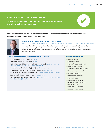#### **RECOMMENDATION OF THE BOARD**

**The Board recommends that Common Shareholders vote FOR the following Director nominees.**



**In the absence of contrary instructions, the persons named in the enclosed form of proxy intend to vote FOR and equally among the following Director nominees.**



#### **Don Coulter, BSc, MSc, CPA, CA, ICD.D**

LANGLEY, BC, CANADA | NON-INDEPENDENT | PRESIDENT & CEO OF CONCENTRA | AGE: 53 | DIRECTOR SINCE: 2018

Don Coulter has held senior executive and board of director roles in Canada and internationally with leading organizations including financial institutions in the banking, co-operative, insurance, pension fund and asset management sectors. Don has a record of leading high-performing teams in the development and implementation of successful strategies.

#### **BOARD DIRECTORSHIPS & POSITIONS HELD DURING TENURE SKILLS AND EXPERIENCE**

- Concentra Bank (2018 current) | Director
- Concentra Trust (2018 current) | Director
- National Commercial Bank of Anguilla (2019 current) | Vice-Chair of the Board | Chair of Human Resources and Governance Committee
- Kwantlen Polytechnic University (past) | Vice-Chair of the Board
- Chartered Accountants of British Columbia (past) | Board Member
- Business Council of British Columbia (past) | Member of the Board of Governors
- Canada Credit Union Association (past) | Board Member
- FirstCaribbean International Bank (past) | Board Member, FCIB Barbados | Chair, ALCO Committee | Group Pension Committee

- Strategic Planning
- Financial Industry
- Financial/Accounting Expertise
- Risk Oversight Literacy
- Financial Industry Risk Oversight
- Direct-to-Consumer Retailing
- Information Technology
- Business and Commerce
- Financial Literacy
- Governance and Boards
- Stakeholder Engagement and Communication
- Mergers and Acquisitions
- Regulatory Environment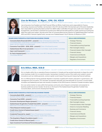

#### **Lise de Moissac, B. Mgmt., CPA, CA, ICD.D**

SASKATOON, SK, CANADA | NON-INDEPENDENT | MAJORITY SHAREHOLDER NOMINEE | AGE: 57 | DIRECTOR SINCE: 2014

Lise is Executive Vice President and Chief Financial Officer at Affinity Credit Union and is responsible for Finance, Accounting, Insurance and Facilities. Lise has been in the CFO role since 2006. She has been part of the senior leadership team responsible for growing the balance sheet from \$800 million to \$6 billion through many credit union mergers and arrangements. Lise has been a Chartered Accountant since 1994 and has held positions in public practice accounting and within the credit union system. She sits as the Chair of Concentra Bank and as a Director for Saskatchewan Blue Cross and APEX and APEX II Venture Capital Funds. Lise was one of Saskatchewan's Top 10 Women of Influence in 2014.

#### **BOARD DIRECTORSHIPS & POSITIONS HELD DURING TENURE AND SKILLS AND EXPERIENCE**

- Concentra Bank (Financial) (2014 present) | Chair of the Board (current) | Risk Committee (past) | Governance Committee (past) | Audit and Conduct Review Committee (past) | Ad Hoc Capital Committee (past)
- Concentra Trust (2014 2016, 2020 present)  $|$  Chair of the Board (current)
- Saskatchewan Blue Cross (present) | Investment Committee | Audit and Risk Committee
- Apex I and II (present) | Director
- St. Paul's Hospital (past) | Chair and Vice Chair | Joint ARCO Member | Executive Committee Member

- Strategic Planning
- Financial Industry
- Financial/Accounting Expertise
- Risk Oversight Literacy
- Financial Industry Risk Oversight
- Financial Literacy
- Governance and Boards
- Mergers and Acquisitions
- Regulatory Environment



#### **Eric Dillon, MBA, ICD.D**

SASKATOON, SK, CANADA | NON-INDEPENDENT | MAJORITY SHAREHOLDER NOMINEE | AGE: 52 | DIRECTOR SINCE: 2018

Eric is a leader within the co-operative finance movement in Canada and has worked extensively to shape the credit union business model. Eric is a serial innovator, having been involved in some of the credit union system's recent innovations such as mobile payments, venture capital, social impact financing and measuring financial wellness.

Eric is a lifelong learner having graduate degrees in business coupled with industry education in governance, risk management and innovation. Eric has been recognized nationally and internationally for his work in social media, innovation and leadership and was most recently a recipient of the 2019 Governor General of Canada Innovation Award.

Eric is an active mentor to many within the business community and a frequent commentator and presenter to business audiences across Canada. He serves on the board of the Saskatchewan Roughriders Football Club, Concentra Bank, and Economic Development Regina.

#### **BOARD DIRECTORSHIPS & POSITIONS HELD DURING TENURE AND SKILLS AND EXPERIENCE**

- Concentra Bank (2018 present) | Risk Committee (current) | Chair, Governance Committee (current) | Ad Hoc Capital Committee (current) | Audit and Conduct Review Committee (past)
- Concentra Trust (2018 present) | Director
- Economic Development Regina (present) | Director, Governance & HR Committee
- Saskatchewan Roughriders Football Club (2019 present) | Governance & Human Resources Committee (current) | Chair, Audit & Finance Committee (current)
- Filene Research Institute (past) | Director
- Credit Union Central of Saskatchewan (past) | Director, Governance & Conduct Review Committee
- Credential Financial Inc. (past) | Chair of Governance Committee | Director, Human Resource Committee | Director, Audit & Risk Committee
- The Hospitals of Regina Foundation (past) | Director
- Credit Union Central of Alberta (past) | Director
- Apex Investment Fund General Partnership (past) | Director

- Strategic Planning
- Financial Industry
- Financial/Accounting Expertise
- Risk Oversight Literacy
- Financial Industry Risk Oversight
- Direct-to-Consumer Retailing
- Business and Commerce
- Financial Literacy
- Governance and Boards
- Mergers and Acquisitions
- Regulatory Environment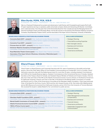

#### **Glen Dyrda, FCPA, FCA, ICD.D**

#### PETERSBURG, ON, CANADA | INDEPENDENT | AGE: 64 | DIRECTOR SINCE: 2017

Glen is a Chartered Professional Accountant and retired senior Audit Partner with PricewaterhouseCoopers (PwC) with 37 years' experience serving co-operative, public and private company clients and interacting with Boards, Committees, and C-suite executives. He is the past Chair of the Partnership Board for PwC Canada and was the Managing Partner for both the Southwest Ontario and Winnipeg offices. He has also served on the boards of the Kitchener-Waterloo Symphony Orchestra, Royal Manitoba Theatre Centre, and the Associates of the Asper School of Business, University of Manitoba.

#### **BOARD DIRECTORSHIPS & POSITIONS HELD DURING TENURE SKILLS AND EXPERIENCE**

- Concentra Bank (2017 present) | Chair, Audit and Conduct Review Committee (current) | Governance Committee (current) | Ad Hoc Capital Committee (current)
- Concentra Trust (2017 present) | Director (current)
- Princess Auto Ltd. (2017 present) | Member, Board of Advisors
- Kitchener-Waterloo Symphony Orchestra (past) | Vice-Chair | Chair, Finance Committee | Governance Committee Member
- Royal Manitoba Theatre Centre (past) | Chair, Board | Chair, Finance Committee
- Associates of the Asper School of Business, University of Manitoba (past) | Chair, Finance Committee

- Strategic Planning
- Financial/Accounting Expertise
- Risk Oversight Literacy
- Business and Commerce
- Financial Literacy
- Governance and Boards



#### **Cheryl Fraser, ICD.D**

#### OTTAWA, ON, CANADA | INDEPENDENT | AGE: 63 | DIRECTOR SINCE: 2019

Cheryl Fraser is a Board Director and Corporate Executive with 35+ years of experience in the public and private sectors. She is the Chief Talent Officer & Vice President Communications at Crombie REIT. Prior to Crombie, Cheryl held senior executive roles with the federal government for more than 25 years, including Assistant Commissioner and CHRO at the Canada Revenue Agency, Assistant Commissioner at the Correctional Service of Canada, Assistant Secretary at the Treasury Board of Canada, and Assistant Deputy Minister at Fisheries and Oceans Canada. Cheryl is also Vice-Chair and Chair of the HRC at the Atlantic Provinces Economic Council, Director on the Board of Governors for Dalhousie University, Director and Chair of the HRC of the Board of the Mental Health Commission of Canada and Director and Co-Chair of the Governance Committee at the Aberdeen Health Foundation. Cheryl was previously Chair of the Board for the Pictou County YMCA and the John Howard Society of NS. She holds a BSc (Mathematics) and an MES (Resource Economics) from Dalhousie University, and an ICD.D from the University of Toronto (Rotman). She received the Queen's Jubilee Medal for her commitment to public service.

#### **BOARD DIRECTORSHIPS & POSITIONS HELD DURING TENURE SKILLS AND EXPERIENCE**

- Concentra Bank (2019 present) | Human Resource and Compensation Committee (current) | Governance Committee (current)
- Aberdeen Health Foundation (2018 present) | Member of the Community Relations Committee | Chair of the Governance Relations Committee
- Mental Health Commission of Canada (2016 present) | Chair of the HR Committee
- Atlantic Provinces Economic Council (2019 present) | Member of the HR Committee
- YMCA of Pictou County (past) | Chair of the Board | Member of the HR Committee | Member of the Governance and Nominating Committee

- Strategic Planning
- Talent Management and Executive Compensation
- Business and Commerce
- Financial Literacy
- Governance and Boards
- Stakeholder Engagement and Communication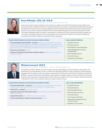

#### **Anne Gillespie, CPA, CA, ICD.D**

CALGARY, AB, CANADA | INDEPENDENT | AGE: 58 | DIRECTOR SINCE: 2014

Anne has more than 15 years' experience in the credit union system and is Chief Financial & Governance Officer and Corporate Secretary at Alberta Central. She oversees the governance portfolio, including Board relationship and support and legal services, along with accounting, budgeting and financial reporting for Alberta Central and its payments joint venture. Anne serves as a member of Alberta Central's Asset Liability Management Committee, Management Credit Committee, Management Risk Committee, Compensation Committee and Group Clearing Joint Venture Liquidity Sub-Committee. Anne holds a Bachelor of Commerce degree from the University of Alberta, is a Chartered Professional Accountant and holds the Institute of Corporate Directors designation.

#### **BOARD DIRECTORSHIPS & POSITIONS HELD DURING TENURE SKILLS AND EXPERIENCE**

- Concentra Bank (Financial) (2014 present) | Audit and Conduct Review Committee (current) | Human Resource and Compensation Committee (current) | Governance and Nominating Committee (past) | Risk Committee (past) | Ad Hoc Consolidation Committee (past) | Chair, Ad Hoc Corporate Structure (Bank Continuance) Committee (past)
- Concentra Trust (past) | Director
- Institute of Chartered Accountants of Alberta (past) | Member of the Complaints Inquiry Committee

- Strategic Planning
- Financial Industry
- Financial/Accounting Expertise
- Talent Management and Exec Compensation
- Risk Oversight Literacy
- Financial Literacy
- Governance and Boards



#### **Michael Leonard, ICD.D**

DARTMOUTH, NS, CANADA | INDEPENDENT | AGE: 54 | DIRECTOR SINCE: 2017

As President and CEO of Atlantic Central and League Savings and Mortgage Company, Michael is responsible for the development and implementation of long- and short-term strategies and plans for both companies, as well as regional strategies within the Atlantic credit union system, representing 47 credit unions with 300,000 members and more than \$6 Billion in assets. Michael is also responsible for government and regulator relations in the four Atlantic Provinces and brings 30 years' experience in various positions in the credit union system to his role at Concentra. He also acts as Chair of the Board of CUCC, which holds the credit union system interest in Interac.

#### **BOARD DIRECTORSHIPS & POSITIONS HELD DURING TENURE SKILLS AND EXPERIENCE**

- Concentra Bank (2017 present) | Human Resources & Compensation Committee (current) | Risk Committee (current) | Ad Hoc Capital Committee (current)
- CUCC (2013 present) | Chair of the Board
- Canadian Credit Union Association (past) | Audit and Risk Committee | Hall of Fame Awards Committee
- League Data (past) | Chair of the Governance Committee
- Connecting People for Health Cooperative (past) | Director

- Strategic Planning
- Financial Industry
- Risk Oversight Literacy
- Business and Commerce
- Financial Literacy
- Governance and Boards
- Stakeholder Engagement and Communication
- Regulatory Environment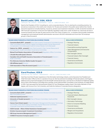

#### **David Losier, CPA, CGA, ICD.D**

#### CARAQUET, NB, CANADA | INDEPENDENT | AGE: 52 | DIRECTOR SINCE: 2017

David is the President of DOL Consulting Inc, and a corporate director. Prior to starting his consulting practice, he served as an executive in the credit union industry for 19 years and worked in the public sector before that. David's executive experience includes banking, insurance, pension and investment industries. In 2016, he led the transition of UNI Financial Cooperation to the first-ever federally regulated Credit Union under the Bank Act. David has served on numerous boards over the past 20 years and he is the Vice-Chair of Vestcor Inc., a company that provides investment management and employee benefit administration services to 90,000 individuals and more than 130 employer groups in New Brunswick.

#### **BOARD DIRECTORSHIPS & POSITIONS HELD DURING TENURE SKILLS AND EXPERIENCE**

- Concentra Bank (2017 present) | Vice-Chair (current) | Governance Committee (current) | Risk Committee (current) | Ad Hoc Capital Committee (current) | Human Resources & Compensation Committee (past) | Audit & Conduct Review Committee (past)
- Vestcor Inc. (2016 present) | Vice-Chair (current) | Chair, Human Resources & Compensation | Audit Committee | Governance Committee
- Mutual Fund Dealers Association of Canada (past) | Regulatory Affairs Committee
- L'Acadie Nouvelle (past) | Director
- Canadian Life and Health Insurance Association of Canada (past) | Director | Audit Committee
- Prix littérraire Antonine-Maillet-Acadie Vie (past) | Chair
- UNI affiliates (past) | Director
- CGA Association of New Brunswick (past) | Board of Governors

- Strategic Planning
- Financial Industry
- Financial/Accounting Expertise
- Talent Management and Executive Compensation
- Risk Oversight Literacy
- Financial Industry Risk Oversight
- Financial Literacy
- Governance and Boards
- Regulatory Environment



#### **Carol Poulsen, ICD.D**

#### BURLINGTON, ON, CANADA | INDEPENDENT | AGE: 61 | DIRECTOR SINCE: 2019

Carol has more than 25 years' experience in the information technology industry, and is Executive Vice President and Chief Information Officer at the Co-operators Group Ltd. She has extensive knowledge of financial systems, both legacy platforms and current technologies across the breadth of financial services. Carol serves on the Board of Addenda Capital, and is Chair of the Pensions Committee and a member of the Audit and Risk Committee on the University of Guelph Board. In 2018, Carol was award the Gartner/Evanta Global CIO Top 5 Breakaway Leaders Award. She holds a Bachelor of Arts degree, with honours from York University, and holds the Institute of Corporate Directors designation.

| <b>BOARD DIRECTORSHIPS &amp; POSITIONS HELD DURING TENURE</b>                                                                  | <b>SKILLS AND EXPERIENCE</b>      |
|--------------------------------------------------------------------------------------------------------------------------------|-----------------------------------|
| • Concentra Bank (2019 - present)   Audit and Conduct Review Committee (current)                                               | • Strategic Planning              |
| Risk Committee (current)                                                                                                       | • Financial Industry (Banking and |
| • Addenda Capital (present)   Director                                                                                         | Insurance)                        |
| • University of Guelph (present)   Chair of Pension Committee   Audit and Risk                                                 | • Risk Oversight Literacy         |
| Committee                                                                                                                      | • Information Technology          |
| • Cancer Care Ontario (past)   Chair Information Management/Information Technology                                             | • Direct to Consumer Retailing    |
| Committee   Chair Board Gating Committee   Human Resources Committee  <br><b>Corporate Governance and Nominating Committee</b> | • Financial Literacy              |
| • AZGA Canada - Allianz Global Assistance Canada (past)   Director                                                             | • Governance and Boards           |
| • Echelon Insurance (past)   Investment Committee   Governance Committee                                                       | • Mergers and Acquisitions        |
| • HB Group Insurance Management (past)   Director                                                                              | • Regulatory Environment          |
| • COSECO Insurance Company (past)   Director                                                                                   |                                   |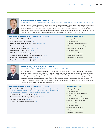

#### **Cary Ransome, MBA, PFP, ICD.D**

#### SASKATOON, SK, CANADA | NON-INDEPENDENT | MAJORITY SHAREHOLDER NOMINEE | AGE: 54 | DIRECTOR SINCE: NEW

Cary is the Chief Retail and Operating Officer at Innovation Credit Union and has previously held executive and senior management positions at Conexus Credit Union, Servus Credit Union, and TD Bank Financial Group. Throughout his career in the financial services industry, Cary has obtained significant experience in strategy development, change management, innovation and project management, succession and talent management, financial literacy, and wealth planning. Cary is currently working towards receiving his MIT Emeritus – Digital Transformation Diploma.

#### **BOARD DIRECTORSHIPS & POSITIONS HELD DURING TENURE SKILLS AND EXPERIENCE**

- Concentra Bank (2016 2018) | Director
- Apex Investments GP Inc. (past) | Director
- Thrive Wealth Management Corp. (past) | Director, Chair
- Conexus Insurance (past) | Director
- Regina Food Bank (past) | Director, Vice Chair
- Edmonton Food Bank (past) | Director
- GRIT (Get Ready for Inclusion) (past) | Director
- Sherwood Park Minor Hockey Association (past) | Director
- Jasper Parks and Recreation (past) | Director, Chair
- Jasper Chamber of Commerce (past) | Elected Director

- Strategic Planning
- Financial Industry
- Financial/Accounting Expertise
- Direct-to-Consumer Retailing
- Business and Commerce
- Financial Literacy
- Governance and Boards
- Mergers & Acquisitions
- Regulatory Environment



#### **Tim Smart, CPA, CA, ICD.D, MBA**

PICKERING, ON, CANADA | INDEPENDENT | AGE: 57 | DIRECTOR SINCE: 2016

Tim brings more than 25 years' cross-industry experience to the Concentra Board. He holds an MBA from McMaster University and is working as an independent consultant supporting a number of technology companies to transition through ownership change. Previously, as Chief Financial Officer of Meridian, he was responsible for overseeing the financial strength of the credit union, including risk mitigation, financial performance, strategy and building strong relationships with Meridian's key financial partners. Prior to joining Meridian, Tim worked as the Chief Financial Officer for a number of financial services and technology-related companies including OANDA Corporation, Audatex Canada, Q9 Networks Inc. and First Asset Management Inc.

#### **BOARD DIRECTORSHIPS & POSITIONS HELD DURING TENURE SKILLS AND EXPERIENCE**

- Concentra Bank (2016 present) | Chair, Risk Committee (current) | Audit and Conduct Review Committee (current) | Chair, Ad Hoc Capital Committee (current) | Ad Hoc Corporate Structure Committee (Bank Continuance) (past)
- Concentra Trust (2016 present) | Director
- Meridian OneCap Credit Corporation (past) | Director
- Horizons for Youth (past) | Director
- Durham Children's Aid Society (past) | Director

- Strategic Planning
- Financial Industry
- Financial/Accounting Expertise
- Risk Oversight Literacy
- Financial Industry Risk Oversight
- Direct-to-Consumer Retailing
- Business and Commerce
- Financial Literacy
- Governance and Boards
- Mergers and Acquisitions
- Regulatory Environment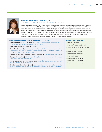

#### **Shelley Williams, CPA, CA, ICD.D**

LANGLEY, BC, CANADA | INDEPENDENT | AGE: 51 | DIRECTOR SINCE: 2017

Shelley is a Chartered Accountant with an extensive corporate finance and capital markets background. She has held senior positions at some of BC's largest multinational public companies, including Vice President Treasurer at Finning International, and Corporate Treasurer at Fletcher Challenge Canada. Shelley has significant governance experience in both private and public sector organizations, as well as unique ownership and multi-stakeholder environments. She serves on the Board of BC Life and Casualty Company (Pacific Blue Cross) as well as the Sources Community Resources Foundation. Previously, she served as Chair of the Douglas College Board, Vice-Chair of HFN LNG Development Corporation, and as an Independent Commissioner at the BC Securities Commission.

#### **BOARD DIRECTORSHIPS & POSITIONS HELD DURING TENURE SKILLS AND EXPERIENCE**

- Concentra Bank (2017 present) | Chair, Human Resources and Compensation Committee (current) | Governance Committee (current)
- Concentra Trust (2019 present) | Director
- B.C. Life & Casualty Company (present) | Chair, Audit Committee | Investment & Loan Committee | Chair, Risk Committee | Chair, Conduct Review Committee | Pacific Blue Cross Foundation Board Member (past)
- Sources Community Resources Foundation (present) | Board Member and Treasurer
- Douglas College (past) | Chair, Board | Chair, Governance and Executive Committee | Chair, Audit and Finance Committee
- HFN LNG Development Corporation (past) | Vice-Chair, Board | Chair, Finance, Audit and Risk Management Committee
- B.C. Securities Commission (past) | Independent Commissioner and Board Member | Audit Committee | Human Resources Committee | Ad-hoc Governance Committee

- Strategic Planning
- Financial/Accounting Expertise
- Talent Management and Executive Compensation
- Risk Oversight Literacy
- Business and Commerce
- Financial Literacy
- Governance and Boards
- Mergers and Acquisitions
- Regulatory Environment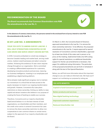#### **RECOMMENDATION OF THE BOARD**

**The Board recommends that Common Shareholders vote FOR the amendments to By-Law No. 2.**



**In the absence of contrary instructions, the persons named in the enclosed form of proxy intend to vote FOR the amendments to By-Law No. 2.**

#### **D) BY-LAW NO. 2 AMENDMENTS**

### **YOUR YES VOTE TO AMEND OUR BY-LAW NO. 2 WILL HELP STRENGTHEN CONCENTRA SO WE CAN GROW AND SERVE CREDIT UNIONS BETTER.**

In 2018, Concentra embarked on a bold new strategy to become Canada's leading mid-market bank, serving credit unions, medium-sized businesses and select consumer markets. Achieving this ambitious 10-year vision requires change throughout our organization. We're committed to creating a differentiated experience for customers, developing innovative products and services, maturing our business intelligence, investing in our employees and establishing a digital banking platform.

We've already made significant progress, but to maintain our momentum it's critical that we have access to the equity necessary to invest in our ongoing transformation and growth. However, Concentra's By-Laws place restrictions on share ownership, limiting our ability to raise capital and attract investors who believe in our purpose of creating the future of banking to enable your success.

Therefore, Concentra and our majority shareholder SaskCentral believe it is in the best interest of both organizations, our shareholders and their members, and the credit union sector to amend Concentra's By-Laws to remove the share ownership restriction to allow noncooperatives to own common shares on certain terms subject to the approval of our majority shareholder and the Board.

On March 3, 2021, the Concentra Board of Directors approved amendments to By-Law No. 2 to remove the share ownership restriction. To be effective, the proposed amendments to By-Law No. 2 require approval by special resolution of Concentra's common shareholders, approved by at least two-thirds of the votes cast in person or by proxy at the meeting. SaskCentral holds only 50% voting rights for special resolutions, so additional shareholder support for the By-Law amendments is necessary. See page 4 for additional voting information. The particulars of the proposed amendments are set forth in Schedule A along with the text of the Special Resolution.

Below, you will find more information about this important change so you can make an informed vote. We hope you'll support us in achieving our purpose by voting yes.

#### **YES VOTE BENEFITS**

| <b>Capital to fund Concentra's growth</b> |  |
|-------------------------------------------|--|
| <b>Better products and services</b>       |  |
| <b>New digital banking technology</b>     |  |
| <b>Improved customer experience</b>       |  |
| <b>Reduced shareholder risk</b>           |  |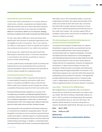#### **Ownership By-Laws Limit Growth**

Our By-Laws restrict ownership of our common shares to credit unions, centrals, cooperatives and related entities. While this limitation was put in place with good intentions, it has become clear that our By-Laws have curtailed the ability for Concentra to deliver on our long-term strategy and have increased risk for both Concentra and SaskCentral.

Our By-Laws make it difficult to issue new shares and significantly limit the pool of potential organizations that are eligible to invest in Concentra. This in turn restricts our ability to raise equity to fund our growth and invest in new products and services for our credit union partners.

At the same time, SaskCentral has determined their 84% majority ownership share in Concentra represents a concentration risk and they would like to reduce a portion of their shareholdings.

To clear a path forward, the Boards of both Concentra and SaskCentral are recommending that the Concentra By-Laws be amended to allow the issuance and ownership of common shares outside the cooperative sector.

#### **Positioning Concentra for Success**

Since our founding in 2005, Concentra has carved out a unique identity focused on serving the credit union sector in innovative and different ways so that the five million credit union members across Canada can choose competitive financial services from their local credit union.

Innovative thinking has been integral to our success. From our beginning as Canada's only federally regulated financial cooperative retail association that introduced wholesale finance as a competitive advantage for credit unions, to becoming a chartered bank in 2017, we've always been willing to break new ground to help credit unions and their members prosper.

The proposed By-Law amendments will enable investment in Concentra from outside the cooperative sector. This will strengthen Concentra so we can continue to grow and serve credit unions better. It will also support our business growth, the development of innovative products, and new online and mobile banking technology. In addition, a diversified share ownership will reduce risk for both Concentra and SaskCentral. With deep roots in the cooperative system, Concentra understands and shares, the values and principles of the credit unions that we work with every day. Concentra has historically brought national connections to local credit unions, delivering expertise and financial clout to the credit union system. We currently support 85% of Canadian credit unions, and we strive to enable all credit unions in Canada to succeed.

#### **The Acknowledgment and Undertaking Agreement between Concentra and SaskCentral**

Concentra has the support of SaskCentral, our majority shareholder, to approve the By-Law amendment and we are working collaboratively to find mutual synergies in moving forward with our respective strategies. Concentra and SaskCentral have entered into an Acknowledgment and Undertaking Agreement that provides SaskCentral with a veto on the issuance of new common equity shares to entities that are not cooperatives. However, the Agreement is temporary in nature and according to its terms, the Agreement *"shall terminate on the earlier of (i) SaskCentral no longer being the largest shareholder of Concentra, or (ii) SaskCentral ceasing to own more than 30% of the issued and outstanding common shares of Concentra."* This Agreement provides SaskCentral the opportunity to continue to play a role in collaborating on the future of Concentra while it retains a significant portion of common shares in Concentra.

#### **Learn More – Attend our Pre-AGM Webinar**

We recognize this is an important vote, so we want to ensure that you have all the information you need to cast your ballot. We will be holding a shareholder webinar on April 1, 2021 to provide more details about the proposed By-Law amendment and our vision for the future. The webinar will be hosted by Concentra, along with our majority shareholder SaskCentral. We hope you can join us.

**Date: April 1, 2021 Time: 11:00 a.m. CST Webinar link:** 

**<https://events.concentra.ca/Shareholder-Webinar>**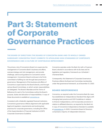## **Part 3: Statement of Corporate Governance Practices**

**THE BOARD OF DIRECTORS (THE BOARD) OF CONCENTRA BANK AND ITS WHOLLY OWNED SUBSIDIARY CONCENTRA TRUST COMMITS TO UPHOLDING HIGH STANDARDS OF CORPORATE GOVERNANCE AND A CULTURE OF CONTINUOUS IMPROVEMENT.**

The primary role of Concentra's Board is to supervise the management of Concentra Bank's business and affairs, oversee strategy and risk management, and provide challenge, advice and guidance to Concentra's senior management. Concentra's Board continues to be firmly committed to fulfilling its role through best practices in governance. Management of the business and affairs of Concentra is supervised by the Board directly, and through various Board Committees, to which certain responsibilities are delegated. The Board's Mandate and the Terms of Reference for each of its Committees outline the Board's purpose, duties and allocation of responsibilities. A copy of these documents is available at [concentra.ca](http://concentra.ca).

Consistent with a federally regulated financial institution, Concentra's governance reflects alignment with applicable legal and regulatory requirements and evolving best practices for corporate governance, including the Office of the Superintendent of Financial Institution's (OSFI) Corporate Governance Guideline.

Concentra operates under the *Bank Act* with a 12-person Board, elected in accordance with its By-laws and its legislative and regulatory framework as a Schedule 1 Chartered Bank.

Consequently, this Statement of Corporate Governance Practices reflects the Board and Committee membership under that governance framework, as at December 31, 2020.

#### **BOARD INDEPENDENCE**

Concentra, as required under the Concentra Bank By-Laws, has established an Independence Standard that aligns with emerging best practice and OSFI Guidelines in relation to Director Independence, and incorporates provisions in relation to affiliated directors, as required by the *Bank Act*. A copy of Concentra's Independence Standard is available at [concentra.ca](http://concentra.ca). In 2020, Concentra's Board of Directors comprised a majority of independent directors.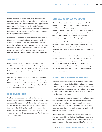Under Concentra's By-laws, a majority shareholder who owns 50% or more of the Common Shares of the Bank is entitled to nominate up to four Directors for appointment to the Board. The Concentra Bank Board of Directors monitors interlocking directorships to ensure Directors are independent of each other. None of Concentra's Directors serve together on another board.

In addition, all members of the Concentra Bank Board of Directors are independent from management, with the exception of the CEO, who is required to be a Director under the *Bank Act*. To ensure transparency, and to assist them in fulfilling their obligations to Concentra, the nonexecutive directors of the Board and its Committees regularly meet in camera, without management present.

#### **STRATEGY**

Concentra's Board and Executive Leadership Team establish our corporate direction. The Board regularly engages management in constructive dialogue, providing both challenge and guidance for significant strategic initiatives.

Annually, Concentra reviews its strategic and business plans, facilitated through a rigorous strategic planning process. The plan sets out short- and long-term strategic directions, and generates financial targets aligned with specific objectives on an annual basis.

#### **RISK OVERSIGHT**

The Board is accountable to the Shareholders for Concentra's strategy and performance. The Board provides risk oversight, approves the Risk Appetite for Concentra, and establishes the tone at the top for the risk culture to preserve the viability of enterprise and shareholder value. The detailed oversight of risk is undertaken at the Committee level, as delegated through the Risk Committee Terms of Reference.

#### **ETHICAL BUSINESS CONDUCT**

The Board upholds the values of integrity and ethical behaviour. Through its Code of Conduct, the Board establishes standards of legal, ethical, and responsible behaviour and a commitment for Concentra to adhere to the highest ethical standards. A commitment to ethical conduct is embedded in other Corporate Policies, including a policy governing related party transactions.

Employees and stakeholders are encouraged to raise or report ethical concerns through one of several reporting channels communicated through the Concentra's Whistleblower Policy, including an anonymous, third-party Ethics Hotline.

Concentra maintains a Complaints Policy and process and is committed to responding to and resolving customer concerns. Concentra has engaged an independent Ombudsman to receive escalated complaints from customers who feel they are unable to receive a timely and satisfactory resolution though Concentra's internal complaints process.

#### **BOARD SUCCESSION PLANNING**

Board succession and renewal is an important mandate of the Board of Directors. During 2020, the Board continued to refine its director recruitment processes to confirm that the skills and experience prioritized at the Board align with Concentra's strategic direction, which ensures effective oversight and governance.

Concentra uses a measured approach to Board succession planning and renewal that places responsibility on the Governance Committee to assess annually the overall Board composition, to ensure the right balance between experience, continuity and fresh perspective, and to seek out new candidates as necessary.

The Governance Committee annually reviews both the size and composition of the Board and Board committees. The Governance Committee uses a Competency Matrix to assist in assessing the expertise and skills of the current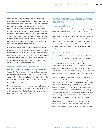directors, identifying any gaps in Board skills that may exist, identifying desirable skill sets in director candidates, and considering whether the Board's skills and experience need to be strengthened in any areas. As part of the Board's renewal process, the Governance Committee annually analyzes these factors when considering whether an appropriate number of directors sit on the Board and when recommending potential nominees for consideration. Concentra's objective is for its Board to have a sufficient range of skills, expertise and experience to ensure it can carry out its responsibilities effectively.

If the Governance Committee determines Board renewal is desirable, it will seek out suitable candidates and assess each candidate's skills, expertise and experience against the needs of the Board and each of the Board committees. The Governance Committee will also take into account such matters as a candidate's integrity, independence, diversity and geographic background.

#### *Recommendation for 2021 Board Composition*

In 2020, the Governance Committee applied the Board Succession Planning approach described above, and the results of that process did not demonstrate any significant gaps in skills on the current Board against the skills outlined in the Matrix. The results of the Competency Assessment are found on page 10.

However, due to the need to replace a retiring Director, the Governance Committee conducted an open call to recruit a single director from Saskatchewan for inclusion with its recommended candidates for 2021.

### **BOARD AND MANAGEMENT GENDER DIVERSITY**

#### **Board Gender Diversity**

Concentra's Board is committed to achieving a diversity of perspective and demographics as part of its Board Succession Planning process. Specifically, the Board is committed to achieving a full Board composition in which both genders comprise at least one-third of the Directors. The candidates recommended by the Board include five female directors, representing 42% of the candidates and exceeding the commitment to gender diversity made by the Board.

#### **Management Gender Diversity**

Concentra has both a Diversity and Inclusion policy and a Respectful Workplace policy. Diversity and inclusion are supported by identifying and removing barriers that might adversely affect employees from Concentra's processes, policies, practices and services. Concentra offers respectful workplace and bias awareness training and fosters opportunities for a wide range of employees to contribute their perspectives on projects and programs.

In 2020, the organization continued to develop learning in this space with a Diversity and Inclusion employee panel as well as welcoming a speaker to share information about First Nations history in Canada and the impact of Residential Schools as part of an Orange Shirt Day initiative. Into 2021, Concentra will continue to develop Diversity and Inclusion strategies as well as targeted plans for becoming a more inclusive workplace that breaks down barriers for all our employees, customers and partners.

While Concentra does not have a specific diversity target for its senior leadership team members, it considers all dimensions of diversity when identifying potential candidates.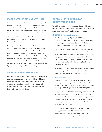#### **BOARD CONTINUING EDUCATION**

Concentra supports a robust professional development program for its Directors, both as individuals and as a composite Board. The program supports Directors to fulfill their roles and responsibilities on the Board within Concentra's evolving regulatory and operating environment.

Through 2020, Concentra's Board of Directors received education on Culture, Capital, and COVID-19 Scenario Planning.

Further, individual Directors participated in educational opportunities that covered such topics as Audit Function and Audit Committee Effectiveness, Board Culture, Board Oversight of Strategy, Business Payments, Crisis Management, Cyber Risk, Cybersecurity, Derivatives, Digital Business, Economics, ESG, Fintechs, Human Resources Compensation Committee Effectiveness, Indigenous Awareness, Leadership, Negotiating, Science of Wellbeing, Special Investments, and Stakeholder Engagement.

#### **SHAREHOLDER ENGAGEMENT**

In 2020, Concentra continued to provide quarterly investor relations presentations to its shareholders. Additionally, the Board and senior management enhanced direct engagement with SaskCentral, Concentra's majority shareholder, with multiple touchpoints and enhanced information-sharing principles.

### **BOARD OF DIRECTORS: KEY INITIATIVES IN 2020**

To fulfil its mandate and enhance the Board's ability to ensure effective governance at Concentra, the Board spent 2020 focusing on the following primary initiatives:

#### **a) COVID-19 Pandemic Response**

The Board's primary objective in 2020 was stewarding Concentra's response to the COVID-19 pandemic and overseeing the execution of Concentra's Business Continuity Management and Pandemic Plan.

Through an additional cadence of reporting, the Board received frequent and enhanced communications from management to help monitor liquidity and capital, loan payment deferrals, employee safety and wellbeing, the transition to working from home, increased cybersecurity and credit risks, and implications to business and strategy.

As a result, Concentra remained strong throughout the year and regained momentum with a sound plan for growth and increased profitability into 2021.

#### **b) Strategic Oversight**

Every year, Concentra undertakes a robust strategic planning session, bringing the Board together with the senior management team to review and assess strategy and shape the strategic direction of the company.

This year, the Board and senior management undertook a critical assessment of strategic adjustments required in response to the pandemic and the evolving economic environment. While the overall strategic direction did not change, priorities were adjusted and the strategy was focused and refined.

One such adjustment involves focusing the scope, timing, and approach of Concentra's digital transformation to enable Concentra to become a successful player in the digital market space.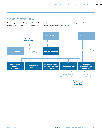#### **STANDING COMMITTEES**

In fulfilling its roles and responsibilities, the Board delegates certain responsibilities to its Standing and Ad Hoc Committees. Each Standing Committee's Terms of Reference can be found on [concentra.ca](http://concentra.ca).

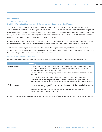#### **Risk Committee**

#### Tim Smart (Committee Chair)

#### Eric Dillon | Teresa Lee (Concentra Trust) | Michael Leonard | David Losier | Carol Poulsen

The role of the Risk Committee is to assist the Board in fulfilling its oversight responsibilities for risk management. The Committee oversees the Risk Management and Compliance Functions and the establishment of risk management frameworks, corporate policies, and strategic controls. The Committee is responsible to oversee the identification and management of significant and emerging risks and to review and monitor Concentra's risk profile and compliance with risk appetite, corporate policy, and legal and regulatory requirements.

Legal and regulatory guidelines require the majority of Committee members to be independent, and every Committee member must also satisfy risk management expertise and experience requirements set out in the Committee Terms of Reference.

The Committee meets regularly with and without members of management present, and has the opportunity to meet separately with the Chief Risk Officer, Chief Compliance Officer, and Chief Anti-Money Laundering Officer. The Committee held six meetings in 2020 and is satisfied it has fulfilled its responsibilities.

#### *Risk Committee Oversight Activities in 2020*

In addition to carrying out its general responsibilities, the Committee focused on the following initiatives in 2020.

|                        | <b>2020 Highlights</b>                                                                                                                                                                                                                   |
|------------------------|------------------------------------------------------------------------------------------------------------------------------------------------------------------------------------------------------------------------------------------|
| <b>Risk Oversight</b>  | Closely monitored pandemic-related credit and operational risks through heightened<br>$\bullet$<br>reporting on financials, specific business portfolios, and oversight of the Business<br>Continuity Management Plan and Pandemic Plan. |
|                        | Reviewed the results of a third-party survey on risk culture and approved an associated<br>action plan.                                                                                                                                  |
|                        | Reviewed the results of two Internal Capital Adequacy Assessment Processes.<br>$\bullet$                                                                                                                                                 |
|                        | Received quarterly reporting on operational, credit and market risks; capital adequacy;<br>emerging risks and significant risk events; regulatory and AML compliance, and cybersecurity.                                                 |
| <b>Risk Governance</b> | Reviewed and recommended for Board approval Concentra's 24 Corporate Policies and four<br>$\bullet$<br>Risk Frameworks within its purview.                                                                                               |
|                        | Reviewed and approved the mandate, resourcing, and effectiveness of the Risk<br>$\bullet$<br>Management and Compliance Functions.                                                                                                        |

For details regarding Concentra's approach to risk management, please refer to the 2020 Management's Discussion and Analysis.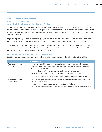#### **Audit and Conduct Review Committee**

#### Glen Dyrda (Committee Chair) Anne Gillespie | Daniel Johnson | Carol Poulsen | Tim Smart

The Audit and Conduct Review Committee oversees the quality and integrity of Concentra's financial reporting, including the effectiveness of the Finance Function, the integrity of Concentra's financial controls, and the effectiveness of the Internal and External Audit Functions. The Committee also oversees Concentra's Code of Conduct, related-party transactions, and conflicts of interest.

Legal and regulatory guidelines require the majority of Committee members to be independent, and every Committee member must also satisfy financial literacy and experience requirements set out in the Committee Terms of Reference.

The Committee meets regularly with and without members of management present, and has the opportunity to meet separately with the external auditors, the Chief Financial Officer and the Chief Internal Auditor. The Committee held four meetings in 2020 and is satisfied it has fulfilled its responsibilities.

#### *Audit and Conduct Review Committee Oversight Activities in 2020*

In addition to carrying out its general responsibilities, the Committee focused on the following initiatives in 2020.

|                                        | <b>2020 Highlights</b>                                                                                                                                                                                                                                                                                                                                                                                                                                     |
|----------------------------------------|------------------------------------------------------------------------------------------------------------------------------------------------------------------------------------------------------------------------------------------------------------------------------------------------------------------------------------------------------------------------------------------------------------------------------------------------------------|
| <b>Audit and Conduct</b><br>Oversight  | Oversaw the transition from an outsourced to an in-house Internal Audit Function.<br>$\bullet$<br>Closely monitored pandemic-related adjustments to material estimates, judgments,<br>and financial disclosures.<br>Reviewed Concentra's quarterly and year-end financial performance.<br>Reviewed and approved Concentra's Dividend Strategy and Declarations.<br>Reviewed and recommended for Board approval Concentra's 2021 Capital Plan.<br>$\bullet$ |
| <b>Audit and Conduct</b><br>Governance | Reviewed and approved the mandate, resourcing, and effectiveness of the Finance and<br>$\bullet$<br>Internal Audit Functions.<br>Completed an effectiveness assessment of the External Auditors.<br>Reviewed and recommended for Board approval the Corporate Policies within its purview.                                                                                                                                                                 |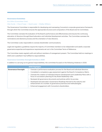#### **Governance Committee**

#### Eric Dillon (Committee Chair) Glen Dyrda | Cheryl Fraser | David Losier | Shelley Williams

The Governance Committee is responsible for developing and overseeing Concentra's corporate governance framework, through which the Committee ensures the appropriate structure and composition of the Board and its Committees.

The Committee oversees the evaluation of the Board's performance and effectiveness and ensures the continuing education of directors through Board education and individual development activities. The Committee oversees the nominations and elections process and the orientation of new directors.

The Committee is also responsible to oversee shareholder communications.

Legal and regulatory guidelines require the majority of Committee members to be independent and satisfy corporate governance expertise and experience requirements set out in the Committee Terms of Reference.

The Committee meets regularly with and without members of management present. The Committee held six meetings in 2020 and is satisfied it has fulfilled its responsibilities.

#### *Governance Committee Oversight Activities in 2020*

In addition to carrying out its general responsibilities, the committee focused on the following initiatives in 2020.

|                             | <b>2020 Highlights</b>                                                                                                                                |
|-----------------------------|-------------------------------------------------------------------------------------------------------------------------------------------------------|
| <b>Governance Oversight</b> | Oversaw a performance evaluation process for the Board and individual directors.                                                                      |
|                             | Completed a competency gap assessment against the Board's Competency Matrix.                                                                          |
|                             | • Oversaw the creation of individual director Development and Leadership Plans with a<br>focus on succession planning for key Board leadership roles. |
|                             | • Reviewed all governance documents and policies within its purview.                                                                                  |
|                             | Developed and executed a Governance Roadmap that led to the maturity and<br>enhancement of a number of governance practices and methodologies.        |
|                             | • Enhanced engagement with Concentra's shareholders.                                                                                                  |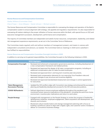#### **Human Resources and Compensation Committee**

#### Shelley Williams (Committee Chair) Cheryl Fraser | Anne Gillespie | Daniel Johnson | Michael Leonard

The Human Resources and Compensation Committee is responsible for overseeing the design and operation of the Bank's compensation system to ensure alignment with strategy, risk appetite and regulatory requirements. It is also responsible for overseeing all matters relating to the proper utilization of human resources within the Bank, with special focus on CEO and executive management succession, development, performance and compensation.

The majority of Committee members are independent and satisfy human resources, compensation, leadership, and related risk management experience requirements, as set out in the Committee Terms of Reference.

The Committee meets regularly with and without members of management present, and meets in-camera with independent consultants and advisors, as needed. The Committee held six meetings in 2020 and is satisfied it has fulfilled its responsibilities.

#### *Human Resources and Compensation Committee Oversight Activities in 2020*

In addition to carrying out its general responsibilities, the Committee focused on the following initiatives in 2020.

|                                                         | 2020 Highlights                                                                                                                                                                                                                                       |
|---------------------------------------------------------|-------------------------------------------------------------------------------------------------------------------------------------------------------------------------------------------------------------------------------------------------------|
| <b>Compensation Oversight</b>                           | • Reviewed and enhanced compensation governance practices, including development of<br>a new compensation framework and related policies.                                                                                                             |
|                                                         | Reviewed and approved the design of all major compensation programs, including an<br>additional compensation plan for sales-focused employees.                                                                                                        |
|                                                         | Reviewed and approved short- and long-term incentive plan documents.                                                                                                                                                                                  |
|                                                         | Reviewed total compensation elements for non-executive Vice-President roles and<br>$\bullet$<br>approved changes to pay structure and incentive eligibility.                                                                                          |
|                                                         | Reviewed and approved standardized employment and change in control agreements<br>for executives.                                                                                                                                                     |
| <b>Talent Management,</b><br><b>Succession Planning</b> | Updated the CEO profile to align with Concentra's new strategy and enhanced the succession<br>$\bullet$<br>planning and leadership development process for the CEO and executive positions.                                                           |
| <b>COVID-19/Pandemic</b>                                | Defined objectives to ensure employee wellbeing throughout the pandemic and<br>$\bullet$<br>monitored human resource implications of the pandemic, including the work-from-home<br>environment, incentive plan implications and return-to-work plans. |
| <b>People Strategy</b>                                  | Engaged with management on the People Strategy to review the progress of leadership<br>$\bullet$<br>development initiatives, employee engagement, talent acquisition and development, and<br>diversity and inclusion.                                 |
|                                                         | Monitored culture transformation and change management planning with a focus on<br>$\bullet$<br>building a workforce culture to align with a digital, agile, and customer-centric mindset to<br>deliver on Concentra's business strategy.             |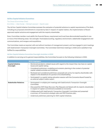#### **Ad Hoc Capital Initiative Committee**

#### Tim Smart (Committee Chair) Eric Dillon | Glen Dyrda | Michael Leonard | David Losier

The Ad Hoc Capital Initiative Committee oversees the evaluation of potential solutions to capital requirements of the Bank, including any proposed amendments to corporate by-laws in respect of capital matters, the implementation of Boardapproved capital solutions and engagement with the majority shareholder.

Every Committee member must satisfy the financial literacy requirement and must have demonstrated expertise in one or more of the following areas: risk oversight, financial/accounting, regulatory environment, stakeholder engagement and communications, and mergers and acquisitions.

The Committee meets as required, with and without members of management present, and has engaged in joint meetings with SaskCentral's Transaction Oversight Committee. The Committee held three meetings in 2020 and is satisfied it has fulfilled its responsibilities.

#### *Ad Hoc Capital Initiative Committee Oversight Activities in 2020*

In addition to carrying out its general responsibilities, the Committee focused on the following initiatives in 2020.

|                                               | 2020 Highlights                                                                                                                                                     |
|-----------------------------------------------|---------------------------------------------------------------------------------------------------------------------------------------------------------------------|
| <b>Capital Initiative</b><br><b>Oversight</b> | Monitored pandemic-related issues with regard to the impact they may have on capital<br>$\bullet$<br>issues and capital raising.                                    |
|                                               | Considered preliminary modelling and scenario planning in the context of potential<br>capital-related activities and initiatives.                                   |
|                                               | Reviewed and considered preliminary proposals set out by its majority shareholder with<br>$\bullet$<br>respect to the divestiture of a portion of its shareholding. |
|                                               | Participated in a capital raising education session with the Concentra Board hosted by<br>$\bullet$<br>an external subject matter expert.                           |
| <b>Stakeholder Relations</b>                  | Participated in multiple joint meetings with SaskCentral's Transaction Oversight<br>$\bullet$<br>Committee.                                                         |
|                                               | Discussed the OSFI Deep Recovery Plan Request and liaised with its majority shareholder<br>$\bullet$<br>in respect of capital commitments available to Concentra.   |
|                                               | Collaborated with SaskCentral's Transaction Oversight Committee and presented<br>$\bullet$<br>a summary of Concentra's strategic plan and 2021 business plan.       |
|                                               | Undertook preliminary planning for 2021 capital initiatives.<br>$\bullet$                                                                                           |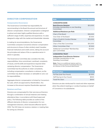#### **DIRECTOR COMPENSATION**

#### **Compensation Governance**

The Governance Committee has responsibility for recommending to the Board the amount and structure of director compensation. Director compensation is designed to attract and retain highly qualified directors with a sufficient range of skills, expertise and experience. It is also designed to align with the market and shareholder interests.

In making its recommendations, the Governance Committee compares Concentra's director compensation and structure to those of other similarly sized Canadian financial institutions and credit unions, taking into account the principles and values of the co-operative sector in which it operates.

The Governance Committee also considers the risks, responsibilities, time commitment, workload, complexity of issues, and the skills and experience required when reviewing director compensation. The Governance Committee has the authority to retain consultants, including compensation consultants or advisors, as the committee may deem necessary or advisable to carry out its responsibilities.

Aggregate director compensation is limited by Concentra's By-Laws, which are approved by Shareholders. Any increase to this amount requires Shareholder approval.

#### **Retainers and Fees**

Directors are compensated for their services as Directors through a combination of annual retainers and meeting attendance fees, in accordance with Board-approved policy. The following table provides an outline of the different elements of director compensation for nonmanagement directors, which became effective April 9, 2018. The CEO does not receive a retainer or meeting fees for acting as a Director.

#### **Role Retainer Amount CONCENTRA BANK Bank Director Retainer** (includes membership on one Standing Committee) \$23,500 **Additional Retainers per Role** Chair of the Board \$36,500 Vice Chair of the Board \$7,500 Chair of Audit & Conduct Review Committee \$10,000 Chair of the Risk Committee  $$10,000$ Other Committee Chair **\$7,500** Additional Committee\* Membership (per Committee) \$3,500 **CONCENTRA TRUST Independent Trust Director Retainer** (includes membership on one Standing Committee) \$15,000

**Note:** *There is no additional retainer paid to a director of the Concentra Trust Board who acts as a director of the Concentra Bank Board.*

| <b>Meeting Fees</b>         | <b>Amount</b> |
|-----------------------------|---------------|
| Full Day (over four hours)  | \$1,000       |
| Half Day (up to four hours) | \$500         |
| <b>Travel Per Diem</b>      | \$500         |
|                             |               |

Directors are also reimbursed for travel and other expenses when they attend meetings or conduct business on behalf of Concentra or its subsidiaries.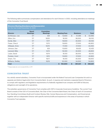The following table summarizes compensation and attendance for each Director in 2020, including attendance at meetings of the Concentra Trust Board.

| <b>Directors Meeting Attendance and Remuneration</b><br>For the Year Ended December 31, 2020 |                                 |                                     |                         |                         |               |              |
|----------------------------------------------------------------------------------------------|---------------------------------|-------------------------------------|-------------------------|-------------------------|---------------|--------------|
| <b>Director</b>                                                                              | <b>Board</b><br><b>Meetings</b> | <b>Committee</b><br><b>Meetings</b> | <b>Meeting Fees</b>     | <b>Retainers</b>        |               | <b>Total</b> |
| de Moissac, Lise                                                                             | 7/7                             | 8/8                                 | $\frac{1}{2}$<br>12,600 | $\frac{1}{2}$<br>51,396 | $\frac{1}{2}$ | 63,996       |
| Dillon, Eric                                                                                 | 7/7                             | 19/20                               | 18,100                  | 38,000                  |               | 56,100       |
| Dyrda, Glen                                                                                  | 7/7                             | 17/17                               | 19,600                  | 40,500                  |               | 60,100       |
| Fraser, Cheryl                                                                               | 7/7                             | 12/12                               | 19,800                  | 27,000                  |               | 46,800       |
| Gillespie, Anne                                                                              | 7/7                             | 10/10                               | 17,300                  | 27,000                  |               | 44,300       |
| Johnson, Dan                                                                                 | 7/7                             | 8/9                                 | 15,800                  | 36,625                  |               | 52,425       |
| Leonard, Mike                                                                                | 7/7                             | 12/12                               | 19,300                  | 30,500                  |               | 49,800       |
| Losier, David                                                                                | 7/7                             | 14/14                               | 18,100                  | 38,000                  |               | 56,100       |
| Poulsen, Carol                                                                               | 7/7                             | 9/10                                | 15,800                  | 27,000                  |               | 42,800       |
| Smart, Tim                                                                                   | 7/7                             | 16/17                               | 18,100                  | 40,500                  |               | 58,600       |
| Williams, Shelley                                                                            | 7/7                             | 16/16                               | 20,300                  | 34,500                  |               | 54,800       |
| Total                                                                                        |                                 |                                     | \$<br>194,800           | \$<br>391,021           | \$            | 585,821      |

\* These totals do not include WCB or CPP.

#### **CONCENTRA TRUST**

As a wholly owned subsidiary, Concentra Trust is incorporated under the federal Trust and Loan Companies Act and is a separate and distinct legal entity from Concentra Bank. As such, it requires and maintains a separate Board of Directors to comply with regulatory and legislative requirements of a federally regulated trust company and fulfill its fiduciary obligations and oversight of its operations.

The subsidiary governance of Concentra Trust complies with OSFI's Corporate Governance Guideline. The current Trust Board consists of the CEO of Concentra Bank, the Chair of the Concentra Bank Board, the Chairs of each of Concentra's four Standing Committees (Audit and Conduct Review, Risk, Human Resources and Compensation, and Governance), together with an independent Director with specific technical skills and experience in the areas of business in which Concentra Trust operates.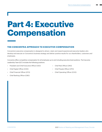## **Part 4: Executive Compensation**

### **THE CONCENTRA APPROACH TO EXECUTIVE COMPENSATION**

Concentra's executive compensation is designed to attract, retain and reward experienced executive leaders who develop and execute on Concentra's business strategy and deliver positive results for our shareholders, customers and employees.

Concentra offers competitive compensation for all employees up to and including executive-level positions. The Executive Leadership Team (ELT) includes the following positions:

- President and Chief Executive Officer (CEO)
- Chief Risk Officer (CRO)

- Chief Digital Officer (CDO)
- Chief Financial Officer (CFO)
- Chief Banking Officer (CBO)

• Chief People Officer (CPO) • Chief Operating Officer (COO)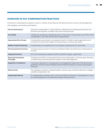#### **OVERVIEW OF KEY COMPENSATION PRACTICES**

Concentra's compensation programs contain a number of key features and best practices to ensure strong alignment with regulatory and market expectations:

| <b>Pay for Performance</b>              | Executive compensation is clearly linked to individual and corporate performance over<br>the short and long term, as well as risk culture and outcomes.                                  |
|-----------------------------------------|------------------------------------------------------------------------------------------------------------------------------------------------------------------------------------------|
| Pay At Risk                             | Variable pay represents a significant portion of executive compensation (over 50% of CEO<br>compensation, over 40% of other NEO compensation).                                           |
| <b>Appropriate Peer Groups</b>          | Compensation peer group is composed primarily of similarly sized organizations and<br>Concentra is close to the median of its peer group in revenue and assets.                          |
| <b>Median Target Positioning</b>        | Compensation is competitive but not excessive, targeting the 50 <sup>th</sup> percentile.                                                                                                |
| <b>No Guaranteed Incentives</b>         | Incentive payouts are zero if minimum funding hurdles and performance thresholds are<br>not met.                                                                                         |
| <b>Capped Incentives</b>                | STI and LTI awards are capped at 130% and 150% of target, respectively.                                                                                                                  |
| <b>Board and Committee</b><br>Oversight | The Board and HRCC oversee performance and compensation, and may apply discretion<br>in determining incentive payments based on informed judgement.                                      |
| <b>Regulatory Compliance</b>            | Concentra's approach to compensation risk management aligns with OSFI governance<br>guidelines and the Financial Stability Board's (FSB) Principles for Sound Compensation<br>Practices. |
| <b>Risk Controls</b>                    | The clawback provisions, funding hurdles, incentive caps, and Board discretion mitigate<br>variable compensation risk.                                                                   |
| <b>Independent Review</b>               | An independent consultant with no ties to the Board of Directors or Management is used<br>to provide guidance on compensation design and governance.                                     |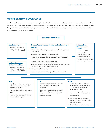#### **COMPENSATION GOVERNANCE**

The Board retains the responsibility for oversight of certain human resource matters including Concentra's compensation systems. The Human Resources and Compensation Committee (HRCC) has been mandated by the Board to act as the main body assisting the Board in discharging these responsibilities. The following chart provides a summary of Concentra's compensation governance structure:

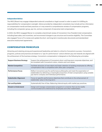#### **Independent Advice**

The HRCC/Board may engage independent external consultants or legal counsel in order to assist it in fulfilling its responsibilities for compensation oversight. Advice provided by independent consultants may include ad-hoc information on compensation trends and best practices or it may extend to comprehensive reviews of compensation programs, including the comparator group, pay mix, and any component of executive total compensation.

In 2020, the HRCC engaged Mercer to complete a benchmark review of Concentra's Vice-President total compensation, including base salary and incentives, and recommend changes to pay structure and incentive eligibility. The Committee also engaged Torys LLP to review and update the short- and long-term incentive plan documents and standardized executive employment agreements.

#### **COMPENSATION PRINCIPLES**

Attracting and retaining strong and experienced leadership and talent is critical to Concentra's success. Concentra's programs, policies and practices are based on a "pay for performance" culture wherein pay and rewards are aligned with the achievement of the business strategy. Concentra's compensation is designed on the following key principles:

| <b>Support Business Strategy</b> | Support the achievement of Concentra's short- and long-term corporate objectives, and<br>be consistent with Concentra's vision, mission and core values.                                                                     |
|----------------------------------|------------------------------------------------------------------------------------------------------------------------------------------------------------------------------------------------------------------------------|
| <b>Market Competitive</b>        | Facilitate attraction of new talent and foster retention of existing employees by offering<br>compensation that is competitive with other peer companies.                                                                    |
| <b>Performance Focus</b>         | Reflect Concentra's pay-for-performance philosophy and meet the expectation of<br>stakeholders by delivering a meaningful proportion of total compensation using variable<br>pay tied to company and individual performance. |
| <b>Stakeholder Alignment</b>     | Focus on specific performance objectives that contribute to the enhancement of<br>stakeholder value in the long term.                                                                                                        |
| <b>Fair and Equitable</b>        | Systematically free of bias. Balancing internal equity with market pay practices.                                                                                                                                            |
| <b>Simple to Understand</b>      | Design and manage compensation programs in a manner that can be readily<br>communicated and understood by employees and other stakeholders.                                                                                  |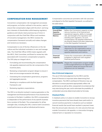#### **COMPENSATION RISK MANAGEMENT**

Concentra's compensation risk management processes and programs, as further outlined in this section, seek to ensure that compensation aligns with the short- and longterm interests of shareholders while keeping regulatory guidance and industry best practices top of mind. In conjunction with the Chief Risk Officer and members of Concentra management, the HRCC reviews the compensation framework annually and makes changes and revisions as necessary.

Compensation is one of the key influencers on the risk culture and the individual motivation to own and manage risks. The Chief Risk Officer (CRO) meets regularly with the HRCC, Risk Committee, and Board to review key risks associated with Concentra's compensation programs. The CRO plays an integral role in:

- Formulating and recommending the compensation risk appetite statement and the risk components of the incentive plans;
- Reviewing compensation program design to ensure it does not encourage excessive risk taking;
- Overseeing the compensation governance, programs and aggregate payouts;
- Attesting to compliance with the Risk Appetite Framework; and
- Reviewing regulatory expectations.

The CRO is not directly involved in revenue generation or the management and financial performance of any business line or product of the Bank. In addition, the CRO's compensation is independent of the performance of any specific business line or product of the Bank. The compensation for all key oversight roles, including the CRO, is tied to both Concentra's overall performance as well as individual performance.

Compensation outcomes are symmetric with risk outcomes and aligned to the Risk Appetite Framework, as outlined in the table below:

| <b>Alignment</b>                                                             | <b>Characteristics</b>                                                                                                                                                                                                                                                                                                                      |
|------------------------------------------------------------------------------|---------------------------------------------------------------------------------------------------------------------------------------------------------------------------------------------------------------------------------------------------------------------------------------------------------------------------------------------|
| <b>Overall Risk</b><br><b>Appetite</b><br><b>Framework</b><br><b>Metrics</b> | Reflect the Concentra's capacity to bear<br>risk as a function of its financial and<br>operational capacity, ability to manage<br>risk, and strength of its reputation and<br>standing with regulators. As such,<br>compensation risk appetite statements<br>are directly linked to all other statements<br>in the Risk Appetite Framework. |
| <b>Corporate</b><br><b>Strategy</b>                                          | Sets the business direction and<br>objectives for the organization and as<br>such, impacts the compensation risk<br>appetite statements and metrics.                                                                                                                                                                                        |
| <b>Financial</b><br>Capacity                                                 | Frames the compensation affordability,<br>budgeted in alignment with targeted<br>financial performance.                                                                                                                                                                                                                                     |
| <b>Risk Capacity</b>                                                         | Shapes the compensation program design<br>to discourage behaviours not aligned with<br>Concentra's values and ensure that such<br>behaviours are not rewarded.                                                                                                                                                                              |

#### **Use of Informed Judgement**

The use of informed judgement by the HRCC and the Board of Directors is important when determining final compensation. The HRCC and Board of Directors may use discretion to ensure payments appropriately reflect risk performance as well as other unexpected circumstances that may arise during the year, and to eliminate the possibility of unintended outcomes determined solely by formulas.

#### **Clawback Policy**

A clawback policy is in place to enable Concentra to recoup incentive payments that have already been paid and/or to cancel incentive payments in situations such as restated financial results that would have resulted in payment lower than the amount paid, discovery of a risk outcome that was outside Concentra's risk appetite, or misconduct bringing material harm or reputation to Concentra.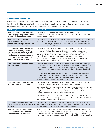#### **Alignment with FSB Principles**

Concentra's compensation risk management is guided by the Principles and Standards put forward by the Financial Stability Board (FSB) to ensure effective governance of compensation and alignment of compensation with prudent risk-taking. Here are the FSB Principles and how Concentra adheres to or follows them:

| <b>FSB Principles</b>                                                                                 | <b>Concentra Practice</b>                                                                                                                                                                                                                                                                                                                                                                                                                                                                                                                                                                                                                                     |
|-------------------------------------------------------------------------------------------------------|---------------------------------------------------------------------------------------------------------------------------------------------------------------------------------------------------------------------------------------------------------------------------------------------------------------------------------------------------------------------------------------------------------------------------------------------------------------------------------------------------------------------------------------------------------------------------------------------------------------------------------------------------------------|
| The firm's board of directors must                                                                    | The Board/HRCC oversees the design and operation of Concentra's                                                                                                                                                                                                                                                                                                                                                                                                                                                                                                                                                                                               |
| actively oversee the compensation                                                                     | compensation programs to ensure alignment with strategy, risk appetite and                                                                                                                                                                                                                                                                                                                                                                                                                                                                                                                                                                                    |
| system's design and operation.                                                                        | regulatory requirements.                                                                                                                                                                                                                                                                                                                                                                                                                                                                                                                                                                                                                                      |
| The firm's board of directors                                                                         | The Board/HRCC reviews all compensation policies and programs on an annual                                                                                                                                                                                                                                                                                                                                                                                                                                                                                                                                                                                    |
| must monitor and review the                                                                           | basis and has final approval on all new designs and material modifications.                                                                                                                                                                                                                                                                                                                                                                                                                                                                                                                                                                                   |
| compensation system to ensure the                                                                     | This review includes incentive plan payouts and may result in adjustments to                                                                                                                                                                                                                                                                                                                                                                                                                                                                                                                                                                                  |
| system operates as intended.                                                                          | programs to meet risk appetite.                                                                                                                                                                                                                                                                                                                                                                                                                                                                                                                                                                                                                               |
| Staff engaged in financial and risk                                                                   | The Board/HRCC reviews and approves compensation for all executives.                                                                                                                                                                                                                                                                                                                                                                                                                                                                                                                                                                                          |
| control must be independent,                                                                          | The Risk and Audit and Conduct Review Committees have input into                                                                                                                                                                                                                                                                                                                                                                                                                                                                                                                                                                                              |
| have appropriate authority, and be                                                                    | performance assessments for the heads of Concentra's oversight function,                                                                                                                                                                                                                                                                                                                                                                                                                                                                                                                                                                                      |
| compensated in a manner that is                                                                       | including risk management, compliance, finance, and internal audit.                                                                                                                                                                                                                                                                                                                                                                                                                                                                                                                                                                                           |
| independent of the business areas                                                                     | Compensation for these roles is determined independently from the                                                                                                                                                                                                                                                                                                                                                                                                                                                                                                                                                                                             |
| they oversee and commensurate                                                                         | performance of the segments they oversee. See page 40 for details on                                                                                                                                                                                                                                                                                                                                                                                                                                                                                                                                                                                          |
| with their key role in the firm.                                                                      | Concentra's incentive plans and how they are measured.                                                                                                                                                                                                                                                                                                                                                                                                                                                                                                                                                                                                        |
| <b>Compensation must be adjusted for</b><br>all types of risk.                                        | Compensation programs are measured for risk at the design stage (through<br>modelling and affordability assessments), the target-setting stage (through an<br>annual review and update of objectives), and at the payment stage (through<br>Board approval of compensation and exercise of board discretion in adjusting<br>individual payments).<br>The Chief Risk Officer provides input to the HRCC on its incentive payment<br>recommendations to the Board through an annual attestation on Concentra's<br>compliance with the Risk Appetite Framework, alignment with corporate<br>strategy, and Concentra's financial and risk capacity.               |
| <b>Compensation outcomes must be</b><br>symmetric with risk outcomes.                                 | Concentra's "pay for performance" compensation philosophy ensures that<br>compensation aligns with risk exposure and operating results.<br>Concentra's short-term incentives have funding hurdles tied to a minimum Tier<br>1 Capital ratio (CET1) and a minimum return on equity (ROE), while Concentra's<br>long-term incentives have a funding hurdle tied to a minimum CET1 ratio. If<br>funding hurdles are not met, the plans do not pay out.<br>Concentra's clawback policy allows Concentra to recoup previously paid<br>incentives in the event of restated financial statements, risk outcomes outside<br>Concentra's risk appetite, or misconduct. |
| <b>Compensation payout schedules</b>                                                                  | Concentra aligns executive compensation with the long-term interests of                                                                                                                                                                                                                                                                                                                                                                                                                                                                                                                                                                                       |
| must be sensitive to the time horizon                                                                 | shareholders, by having a significant portion of compensation comprising long-                                                                                                                                                                                                                                                                                                                                                                                                                                                                                                                                                                                |
| of risks.                                                                                             | term incentives with a performance period of three years.                                                                                                                                                                                                                                                                                                                                                                                                                                                                                                                                                                                                     |
| The mix of cash, equity and other<br>forms of compensation must be<br>consistent with risk alignment. | While Concentra does not offer equity-based compensation, half of at-risk pay for<br>executives is deferred in order to align with the risk time horizon. The total value<br>of pay that is at risk may vary by executive but the mix of short- and long-term<br>incentives is consistent, with each incentive comprising 50% of total incentives.                                                                                                                                                                                                                                                                                                            |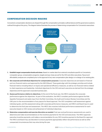#### **COMPENSATION DECISION-MAKING**

Concentra's compensation decisions are shaped through the compensation principles outlined above and the governance systems outlined throughout this proxy. The diagram below illustrates the process of determining compensation for Concentra's executives:



- **1. Establish target compensation levels and mixes**: Based on market data from external consultants specific to Concentra's comparator group, compensation programs, targets and pay mixes are set for the CEO and other executives. Payout and affordability analyses are completed prior to the approval of any new compensation plan design or re-design of an existing plan.
- **2. Set corporate and individual objectives for compensation purposes:** Corporate objectives are set based on financial and non-financial metrics and approved by the HRCC/Board. These goals align with the strategic priorities and include financial metrics including Return on Equity and operational efficiency measures, as well as non-financial metrics related to client experience and leadership. Individual objectives for the CEO and each executive are derived from the strategic objectives and the approved corporate business plan.
- **3. Assess performance relative to objectives:** At the end of the fiscal year, the HRCC evaluates the corporate performance against the objectives. As part of this evaluation, the HRCC considers performance against the Risk Appetite Framework and seeks input from the Risk Committee, the Audit and Conduct Review Committee and the CRO prior to the recommendation of any payout for Board approval. The CEO completes a self-assessment against individual goals, and this assessment along with corporate performance measures, and HRCC and Board input is used to determine the final year-end assessment. The HRCC also receives individual performance assessments for each executive based on CEO review and achievement of individual objectives.
- **4. Determine compensation and exercise discretion as needed:** Final year-end performance assessments are used to determine and make recommendations on the incentive payments for the CEO and executives. The HRCC approves executive incentive payments, and makes a recommendation for any CEO incentive payment to the Board for approval. The HRCC and Board may use discretion to ensure payments appropriately reflect risk performance as well as other unexpected circumstances that may arise during the year.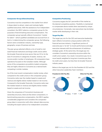#### **Comparator Group & Benchmarking**

Concentra must be competitive in the market from which it draws talent to attract, retain and motivate highly qualified executives. With the assistance of an independent consultant, the HRCC selects a comparator group for the purposes of benchmarking executive compensation. The comparator group typically reflects Concentra's "market for talent"—which qualified candidates are sourced from or lost to. In determining this comparator group, the following factors were considered: industry, ownership type, geography, scope of business and size.

The peer group selected reflects a mix of small to midsized financial institutions and large credit unions within the broader financial services sector that are 1/3 to 3x the size of Concentra in categories of assets, revenue, net income and/or number of employees. All comparators have operations focused on the Canadian market. Although some of the comparators are publicly traded companies, they are highly relevant to Concentra as a national bank competing in similar markets.

As of the most recent compensation market review, when compared to the credit unions in the comparator group, Concentra ranks near the median based on assets and revenue and slightly below median based on net income. Compared to the broader financials, Concentra ranks near the median based on revenue and slightly below median based on assets and net income.

Given the uniqueness of Concentra's business and ownership structure, there are few direct comparators. In benchmarking executive compensation, the HRCC applies considerable judgement and considers the comparator group data in conjunction with other relevant data sources, including the expert advice of an independent consultant.

#### **Competitive Positioning**

Concentra targets the 50th percentile of the market as the desired competitive position. Flexibility is maintained to compensate above market when warranted by unique circumstances. Conversely, new executives may be below market while developing in their role.

#### **Target Pay Mix**

The target pay mix for the CEO and executive leadership team reflects Concentra's unique position within the financial services industry. A significant portion of executive pay is "at risk" to incent performance and align executive interests with the achievement of ambitious strategic goals. At the same time, the target pay mix considers Concentra's ownership structure within the credit union system. As a result, Concentra's pay mix is more heavily weighted to long-term incentive pay than its credit union peers, but less than its broader financial industry peers.

Below is the target pay mix for the President & CEO and the other Executive Leadership Team members:

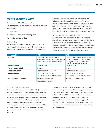#### **COMPENSATION DESIGN**

#### **Components of Total Compensation**

Total compensation for Concentra's executives includes the following:

- 1. Base Salary
- 2. Incentive (Short-Term and Long-Term)
- 3. Benefits and perquisites

#### 1. Base Salary

Base salaries comprise the fixed component of total compensation and provide a level of income certainty throughout the year. Factors considered in determining base salary include: level of executive responsibility, individual capabilities and experience, performance, market competitiveness, and internal equity. Base salaries are reviewed annually by the HRCC, with adjustments if appropriate. A more fulsome market review is conducted every two to three years to benchmark against comparators.

#### 2. Short- and Long-Term Incentive Plans

Concentra's incentive plans are designed to provide a strong linkage between pay and performance. A significant portion of executive compensation is tied to individual performance and the achievement of corporate results over the short and longer term. The following table summarizes the key features of the variable compensation plans.

| <b>Incentive Plans</b>        | <b>STIP</b>                                                                                                       | <b>LTIP</b>                                                                                                                                           |
|-------------------------------|-------------------------------------------------------------------------------------------------------------------|-------------------------------------------------------------------------------------------------------------------------------------------------------|
| <b>Purpose</b>                | Designed to motivate and reward<br>employees for their contribution toward<br>achieving the annual business plan. | Designed to drive successful execution<br>of the long-term business strategy.<br>Important tool for attraction and<br>retention of leadership talent. |
| <b>Form of Award</b>          | Cash Payment                                                                                                      | Cash Payment                                                                                                                                          |
| <b>Performance Period</b>     | 12 months                                                                                                         | 3 years                                                                                                                                               |
| <b>Vesting/Payment</b>        | End of performance period                                                                                         | End of performance period                                                                                                                             |
| <b>Target Awards</b>          | CEO: 60% of Base Salary                                                                                           | CEO: 60% of Base Salary                                                                                                                               |
|                               | Executives: 35-40% of Base Salary                                                                                 | Executives: 35-40% of Base Salary                                                                                                                     |
| <b>Performance Components</b> | 75% Corporate Results<br>25% Individual Objectives                                                                | 100% Corporate Results                                                                                                                                |

#### *Short-Term Incentive Plan (STIP)*

Concentra's Short-Term Incentive Plan (STIP) is intended to reward employees for their contributions toward the achievement of the annual business plan and related corporate goals. Payment under this program is based on the level of achievement of corporate performance metrics, determined annually through a balanced scorecard, which is reviewed and approved by the HRCC and Board. In addition to these performance metrics, performance hurdles must be met in order for any payout to occur.

At the end of the year, the HRCC reviews the corporate performance against the established targets and makes a recommendation to the Board regarding the aggregate STIP payout. The HRCC also reviews the CEO's individual performance against his goals and determines the appropriate incentive payment for Board approval. In addition, the HRCC reviews the CEO's assessment of the executive team performance, and approves the executive incentive payments.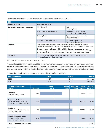The table below outlines the corporate performance metrics and design for the 2020 STIP:

| <b>STIP</b>                           |                                                                                                                                                                                                                                                                                                                                                                                                 |                                                                 |  |  |
|---------------------------------------|-------------------------------------------------------------------------------------------------------------------------------------------------------------------------------------------------------------------------------------------------------------------------------------------------------------------------------------------------------------------------------------------------|-----------------------------------------------------------------|--|--|
| <b>Funding Hurdles</b>                | Minimum CET1/ROE                                                                                                                                                                                                                                                                                                                                                                                |                                                                 |  |  |
| <b>Corporate Performance Measures</b> | 45% Financial                                                                                                                                                                                                                                                                                                                                                                                   | <b>ROE</b><br><b>Efficiency Ratio</b>                           |  |  |
|                                       | 20% Customers/Stakeholder                                                                                                                                                                                                                                                                                                                                                                       | Customer Advocacy Index<br>Direct-to-Customer Initiatives       |  |  |
|                                       | 15% Employee                                                                                                                                                                                                                                                                                                                                                                                    | Agile Culture Transformation<br>Leadership Index <sup>(1)</sup> |  |  |
|                                       | 20% Foundational/Execution                                                                                                                                                                                                                                                                                                                                                                      | <b>Digital Transformation</b><br>Non-Performing Loans           |  |  |
| Payment                               | Cash payment reflecting performance against the corporate measures and<br>individual performance; weighted 75% corporate and 25% individual for executives.<br>The payout range is between 50% to 130% of target for each performance<br>measure. Regardless of the performance achievement for each measure, if the<br>funding hurdle has not been achieved, no payment is made from the plan. |                                                                 |  |  |
|                                       |                                                                                                                                                                                                                                                                                                                                                                                                 |                                                                 |  |  |
| <b>Clawback</b>                       | Subject to the clawback policy, payments made under this plan can be<br>recouped in certain circumstances.                                                                                                                                                                                                                                                                                      |                                                                 |  |  |

(1) The leadership measures apply only to the executive team.

The overall 2021 STIP design is similar to 2020, but incorporates changes to the corporate performance measures in order to align with the approved corporate strategy. Performance metrics for 2021 reflect the continued importance of achieving financial measures in addition to the digital transformation, ongoing automation, and the importance of leadership metrics.

The table below outlines the corporate performance achievement for the 2020 STIP:

| <b>STIP Plan Hurdles</b> | <b>Target</b> | Actual | <b>Result</b> |
|--------------------------|---------------|--------|---------------|
| CET <sub>1</sub>         | $>= 10\%$     | 12.8%  | Achieved      |
| <b>ROE</b>               | $> 5.0\%$     | 5.2%   | Achieved      |

| <b>Corporate Performance</b><br><b>Measure</b>                                              | <b>Weighting</b> | <b>Threshold</b><br>(50%) | <b>Target</b><br>(100%) | <b>Maximum</b><br>(130%) | <b>Result</b><br>% score) | Weighted<br>Result (%) |
|---------------------------------------------------------------------------------------------|------------------|---------------------------|-------------------------|--------------------------|---------------------------|------------------------|
| <b>Financial</b><br>(ROE, Efficiency Ratio)                                                 | 45%              |                           |                         |                          | 73.9%                     | 33.3%                  |
| <b>Customer/Stakeholder</b><br>(Customer Advocacy Index,<br>Direct-to-Customer Initiatives) | 20%              |                           |                         |                          | 105.0%                    | 21.0%                  |
| <b>Employee</b><br>(Agile Culture Transformation,<br>Leadership Index)                      | 15%              |                           |                         |                          | 106.6%                    | 16.0%                  |
| <b>Foundational/Execution</b><br>(Digital Transformation,<br>Non-Performing Loans)          | 20%              |                           |                         |                          | 54.5%                     | 10.9%                  |
| <b>Overall Corporate Performance</b>                                                        |                  |                           |                         | 81.2%                    |                           |                        |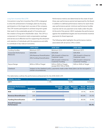#### *Long-Term Incentive Plan (LTIP)*

Concentra's Long-Term Incentive Plan (LTIP) is designed to drive the achievement of strategic plans by focusing participants on the longer-term success of the company. The LTIP incents participants to achieve long-term goals that result in the sustainable growth of Concentra and the creation of long-term shareholder value. The LTIP is a component of Concentra's total compensation package and serves as an effective tool for supporting the attraction and retention of individuals with the experience and skills to contribute in key roles at Concentra.

Performance metrics are determined at the onset of each three-year performance period and approved by the Board. In addition to defined performance metrics for each threeyear performance period, minimum performance hurdles must be met for any payment to be made under the plan. At the end of the period, HRCC evaluates the performance against the established targets and recommends incentive payments for Board approval.

The following table highlights the performance metrics associated with all active LTIPs in 2020:

| <b>LTIP</b>            | 2018-2020                                                  | 2019-2021                                                                          | 2020-2022                                           |
|------------------------|------------------------------------------------------------|------------------------------------------------------------------------------------|-----------------------------------------------------|
| <b>Funding Hurdles</b> | Minimum CET1                                               | Minimum CET1                                                                       | Minimum CET1                                        |
| Corporate Performance  | 50% ROE                                                    | 50% ROE                                                                            | 50% ROE                                             |
| <b>Measures</b>        | 25% Revenue Diversification<br>25% Funding Diversification | 25% Growth in Direct-to-<br><b>Customer Loans</b>                                  | 25% Growth in Direct-to-<br><b>Customer Loans</b>   |
|                        |                                                            | 25% Growth in Direct-to-<br><b>Customer Funding</b>                                | 25% Growth in Direct-to-<br><b>Customer Funding</b> |
| Payout Range           | 80% to 125% of Target                                      | 50% to 150% of Target,<br>except ROE 70% to 150%                                   | 50% to 150% of Target                               |
| Clawback               | certain circumstances.                                     | Subject to the clawback policy, payments made under these plans can be recouped in |                                                     |

The table below outlines the performance achievement for the 2018-2020 LTIP:

| LTIP Plan Hurdles | <b>Target</b> | Actual | Result   |
|-------------------|---------------|--------|----------|
| CET1              | >= 9%         | 12.8%  | Achieved |

| <b>Corporate Performance</b><br><b>Measure</b> | <b>Weighting</b> | <b>Threshold</b><br>(80%) | Target<br>(100%) | <b>Maximum</b> |       | <b>Result   Weighted</b><br>$(125%)$ $(% score)$ Result $(*)$ |
|------------------------------------------------|------------------|---------------------------|------------------|----------------|-------|---------------------------------------------------------------|
| <b>ROE</b>                                     | 50%              |                           |                  |                | 97.7% | 48.8%                                                         |
| <b>Revenue Diversification</b>                 | 25%              |                           |                  |                | 80.9% | 20.2%                                                         |
| <b>Funding Diversification</b>                 | 25%              |                           |                  |                | 85.5% | 21.4%                                                         |
| <b>Overall Corporate</b><br><b>Performance</b> |                  |                           |                  |                |       | 90.4%                                                         |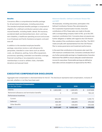#### **Benefits**

Concentra offers a comprehensive benefits package for all permanent employees, including executives. The standard employee benefits package is comprised of: eligibility for a defined contribution pension plan; group insured benefits, including health, dental, life insurance, accidental death and dismemberment, short- and longterm disability, a healthcare spending account and access to an Employee and Family Assistance program; and paid time off.

In addition to the standard employee benefits package, executives receive a cash allowance for perquisites, intended to cover items such as vehicle costs, car allowance, parking, home office equipment, provisionary spending, extended core benefits coverage, financial consulting or tax preparation services, memberships in social or athletic clubs, charitable donations and spousal travel.

#### *Retirement Benefits—Defined Contribution Pension Plan and SERP*

All employees, including executives, participate in the Defined Contribution Pension Plan administered by the Cooperative Superannuation Society. Executive contributions of 6% of base salary are made to the plan with a corresponding company match of 6%, up to the CRA maximum contribution limit. Concentra does not assume any further obligation or liability with regard to the CSS Pension Plan outside of the contributions made to the Plan. The HRCC meets annually with representatives from the CSS Pension Plan to review governance and investment performance.

In the event that contributions to the pension plan reach the CRA maximum contribution limit, Concentra contributes 12% of any further pensionable earnings to a Supplementary Executive Retirement Plan (SERP) to ensure adequate overall retirement income for executives. Pensionable earnings are defined as base salary and any exceptions are approved by the HRCC.

#### **EXECUTIVE COMPENSATION DISCLOSURE**

Aggregate total compensation is disclosed below for the ELT. The disclosure represents total compensation, inclusive of accruals, whether or not they have been paid.

| <b>Summary Executive Compensation</b>         |                 |                 |                 |
|-----------------------------------------------|-----------------|-----------------|-----------------|
| For the Year Ended                            | 2020            | 2019            | 2018            |
| <b>Salaries</b>                               | \$<br>2,800,599 | \$<br>2,991,975 | \$<br>2,227,629 |
| Retirement allowance and termination benefits | 0               | 227,899         | 760,341         |
| Performance Incentives                        |                 |                 |                 |
| Current                                       | 943,350         | 896,000         | 1,246,772       |
| Deferred                                      | 804,787         | 336,875         | 470,342         |
| <b>Other Benefits</b>                         | 522,361         | 549.694         | 530,568         |
| <b>Total</b>                                  | \$<br>5.071.097 | \$<br>5,002,443 | \$<br>5.235.652 |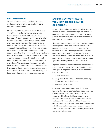#### **COST OF MANAGEMENT**

As part of its compensation testing, Concentra tracks the relationship between net income and executive compensation.

In 2018, Concentra embarked on a bold new strategy with a focus on digital transformation and core competencies of specialization, partnering and innovation. To support this shift in strategy and culture, significant investments were required in technology and human capital to ensure the necessary talent, skills, capabilities and resources of the organization were available to build new lines of business, execute on strategic priorities, and meet increased regulatory requirements. This shift required both a larger leadership team, as well as the attraction of talent who had deep expertise with other financial institutions and had previously been involved in transformative strategies and cultures. The result was an increase in costs in order to expand the team and attract these resources. It is expected that the positive increases in revenue in coming years will result in net income surpassing this initial growth in executive compensation expense.

### **EMPLOYMENT CONTRACTS, TERMINATION AND CHANGE OF CONTROL**

Concentra has employment contracts in place with each member of the ELT. These contracts govern the terms of employment for each executive, including duties of the position, compensation, benefits, termination and other obligations of the employee.

The termination provisions included in executive contracts are designed to reflect current market practices while complying with all relevant legal requirements. The total amount and obligation to pay severance will vary depending on the reason for termination, the position, and length of service. The relevant severance provision is defined in the employment contract or change in control agreement, and ranges between one to two years.

In general, each executive would be contractually entitled to severance in the event of a termination without cause or resignation for good reason equal to one to two times (1 to 2 x) the following:

- 1. Current base salary
- 2. The greater of: most recent STI payment, or average STI payment over the last 3 years
- 3. Annual perquisite amount

Change in control agreements are also in place to recognize the importance of stabilizing key management roles in connection with potential or actual change in control activities. The underlying premise is that no additional benefits are provided to executives; however, vesting provisions may differ to address these unique circumstances. The change in control agreements include a double trigger where a severance payment occurs only if both: 1) a change in control occurs; and 2) the executive's employment is terminated.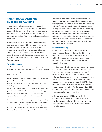### **TALENT MANAGEMENT AND SUCCESSION PLANNING**

Concentra recognizes the importance of succession planning in ensuring business continuity and minimizing people risk. Concentra has developed a succession plan that covers all executives while also addressing business continuity needs. The HRCC and Board have oversight over these plans.

Concentra's purpose is "Creating the future of banking to enable your success". With this purpose in mind, six Leadership Principles guide employee behaviour at Concentra: Accountability, Bold, Customer Obsessed, Agile, Inspiring, and One Team. Driven by the strategy, these six leadership principles guide employee conduct, are embedded into the culture, and are the forefront of all Talent programs.

#### **Talent Management**

The key to Concentra's success is its people. The people strategy is aligned with to the corporate strategy to ensure employees are engaged and empowered to execute on their objectives.

Individual development is a key component of Concentra's people strategy. In collaboration with the Board, the CEO has an annual performance management program including a development plan to ensure ongoing individual development throughout the year. The CEO and executives participate in a 360° Feedback process to not only support their individual development, but also gain insight into opportunities to enhance their performance as a team.

Concentra aspires to be an employer of choice, attracting and retaining the best employees, providing solid learning and development opportunities for every employee, and encouraging life-long learners. The leadership pipeline is balanced between the development of talent from within

and the attraction of new talent, skills and capabilities. Employee training includes individual and targeted group training to enhance employee satisfaction and productivity, build confidence and consistency, and support ongoing learning and development. Concentra focused on driving an agile culture in 2020 with training and new ways of working to support a more nimble culture and drive collaboration and speed in achieving our goals. Concentra continues to focus on innovation as a core competency and encourages employees through annual Hackathons and continuous improvement.

#### **Succession Planning**

Concentra approaches CEO Succession Planning as an ongoing process that allows the Board to think critically about the CEO skillset required for success in the future; to identify, develop, and get to know the top internal candidates, while providing opportunities for senior executive development.

CEO Succession Planning is an annual process that includes a review and update of the CEO role profile. This profile is used to benchmark internal successors and identify any gaps in qualifications, experiences, skillsets, and behavioural competencies, which can then be used to form part of the ongoing Individual Development Plan (IDP). Feedback from external assessment tools, 360° feedback and CEO performance assessments are all used to support the development of the IDP. With the support of the CEO, successor candidates are accountable for the development, monitoring, and progress of their IDP.

At least once a year, the HRCC and Board review succession plans for the CEO, executives, and key oversight roles to monitor the risk and ensure a robust talent pipeline exists for all critical leadership positions within Concentra.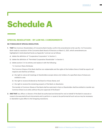## **Schedule A**

#### **SPECIAL RESOLUTION – BY-LAW NO. 2 AMENDMENTS**

#### **BE IT RESOLVED BY SPECIAL RESOLUTION:**

- **1. THAT** the Common Shareholders of Concentra Bank hereby confirm the amendments to By-Law No. 2 of Concentra Bank made by resolution of the Concentra Bank Board of Directors on March 3, 2021, which amendments are highlighted in bold attached hereto as Appendix 1 and set out as follows:
	- a) delete the definition of "Cooperative Corporation" in Section 1;
	- b) delete the definition of "Permitted Cooperative Shareholder" in Section 1;
	- c) delete section 3 in its entirety and replace it with the following:
		- "3. Common Share Attributes

The Common Shares of the Bank shall be non-redeemable and the rights of the holders there of shall be equal in all respects and shall be as follows:

- a) the right to vote at all meetings of shareholders except where only holders of a specified class of shares are entitled to vote;
- b) the right to receive dividends by the Board on those shares; and
- c) the right to receive the remaining property of the Bank on dissolution.

The transfer of Common Shares of the Bank shall be restricted in that no Shareholder shall be entitled to transfer any Common Share to an entity without the prior approval of the Board."

**2. AND THAT** any officer or director of the Bank be authorized and directed for and on behalf of the Bank to execute or cause to be executed all such documents and to perform or cause to be performed all such acts as may be necessary or desirable to give effect to the foregoing resolutions.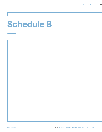## **Schedule B**